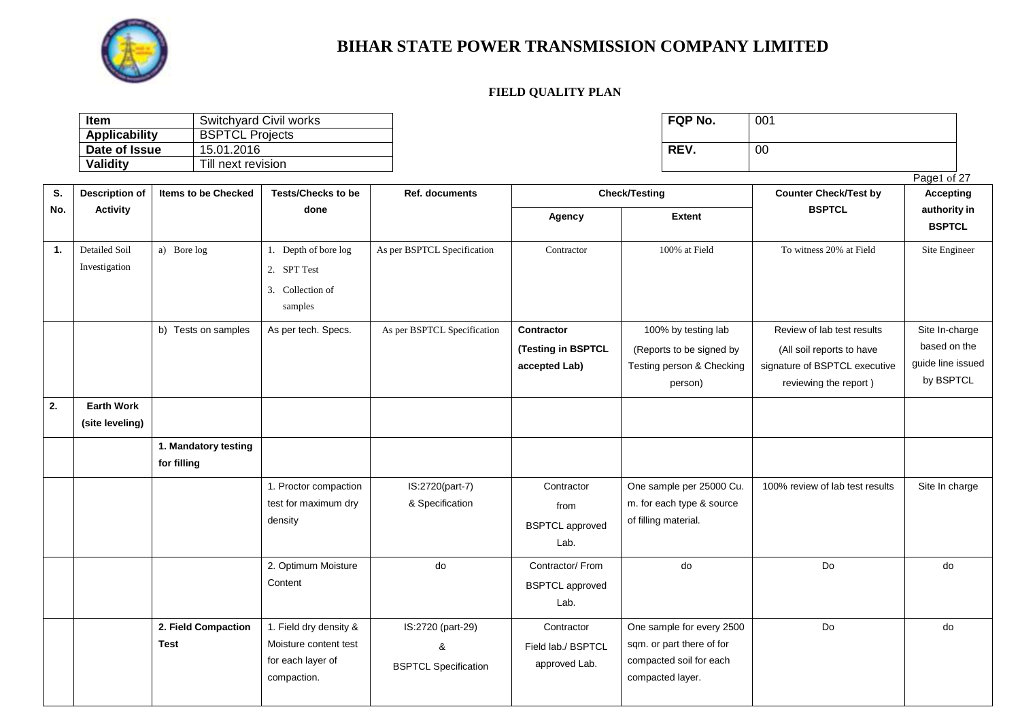

| <b>Item</b>          | Switchvard Civil works | <b>FQP No.</b> | 001 |
|----------------------|------------------------|----------------|-----|
| <b>Applicability</b> | <b>BSPTCL Projects</b> |                |     |
| Date of Issue        | 15.01.2016             | REV.           | 00  |
| <b>Validity</b>      | Till next revision     |                |     |

| FQP No. | 001 |
|---------|-----|
| REV.    | 00  |

|                |                       |                            |                           |                             |                        |                           |                                 | Page1 of 27       |
|----------------|-----------------------|----------------------------|---------------------------|-----------------------------|------------------------|---------------------------|---------------------------------|-------------------|
| S.             | <b>Description of</b> | <b>Items to be Checked</b> | <b>Tests/Checks to be</b> | <b>Ref. documents</b>       |                        | <b>Check/Testing</b>      | <b>Counter Check/Test by</b>    | <b>Accepting</b>  |
| No.            | <b>Activity</b>       |                            | done                      |                             | Agency                 | <b>Extent</b>             | <b>BSPTCL</b>                   | authority in      |
|                |                       |                            |                           |                             |                        |                           |                                 | <b>BSPTCL</b>     |
| $\mathbf{1}$ . | Detailed Soil         | a) Bore log                | 1. Depth of bore log      | As per BSPTCL Specification | Contractor             | 100% at Field             | To witness 20% at Field         | Site Engineer     |
|                | Investigation         |                            | 2. SPT Test               |                             |                        |                           |                                 |                   |
|                |                       |                            | 3. Collection of          |                             |                        |                           |                                 |                   |
|                |                       |                            | samples                   |                             |                        |                           |                                 |                   |
|                |                       | b) Tests on samples        | As per tech. Specs.       | As per BSPTCL Specification | Contractor             | 100% by testing lab       | Review of lab test results      | Site In-charge    |
|                |                       |                            |                           |                             | (Testing in BSPTCL     | (Reports to be signed by  | (All soil reports to have       | based on the      |
|                |                       |                            |                           |                             | accepted Lab)          | Testing person & Checking | signature of BSPTCL executive   | guide line issued |
|                |                       |                            |                           |                             |                        | person)                   | reviewing the report)           | by BSPTCL         |
| 2.             | <b>Earth Work</b>     |                            |                           |                             |                        |                           |                                 |                   |
|                | (site leveling)       |                            |                           |                             |                        |                           |                                 |                   |
|                |                       | 1. Mandatory testing       |                           |                             |                        |                           |                                 |                   |
|                |                       | for filling                |                           |                             |                        |                           |                                 |                   |
|                |                       |                            | 1. Proctor compaction     | IS:2720(part-7)             | Contractor             | One sample per 25000 Cu.  | 100% review of lab test results | Site In charge    |
|                |                       |                            | test for maximum dry      | & Specification             | from                   | m. for each type & source |                                 |                   |
|                |                       |                            | density                   |                             | <b>BSPTCL</b> approved | of filling material.      |                                 |                   |
|                |                       |                            |                           |                             | Lab.                   |                           |                                 |                   |
|                |                       |                            | 2. Optimum Moisture       | do                          | Contractor/From        | do                        | Do                              | do                |
|                |                       |                            | Content                   |                             | <b>BSPTCL</b> approved |                           |                                 |                   |
|                |                       |                            |                           |                             | Lab.                   |                           |                                 |                   |
|                |                       | 2. Field Compaction        | 1. Field dry density &    | IS:2720 (part-29)           | Contractor             | One sample for every 2500 | Do                              | do                |
|                |                       | <b>Test</b>                | Moisture content test     | &                           | Field lab./ BSPTCL     | sqm. or part there of for |                                 |                   |
|                |                       |                            | for each layer of         | <b>BSPTCL Specification</b> | approved Lab.          | compacted soil for each   |                                 |                   |
|                |                       |                            | compaction.               |                             |                        | compacted layer.          |                                 |                   |
|                |                       |                            |                           |                             |                        |                           |                                 |                   |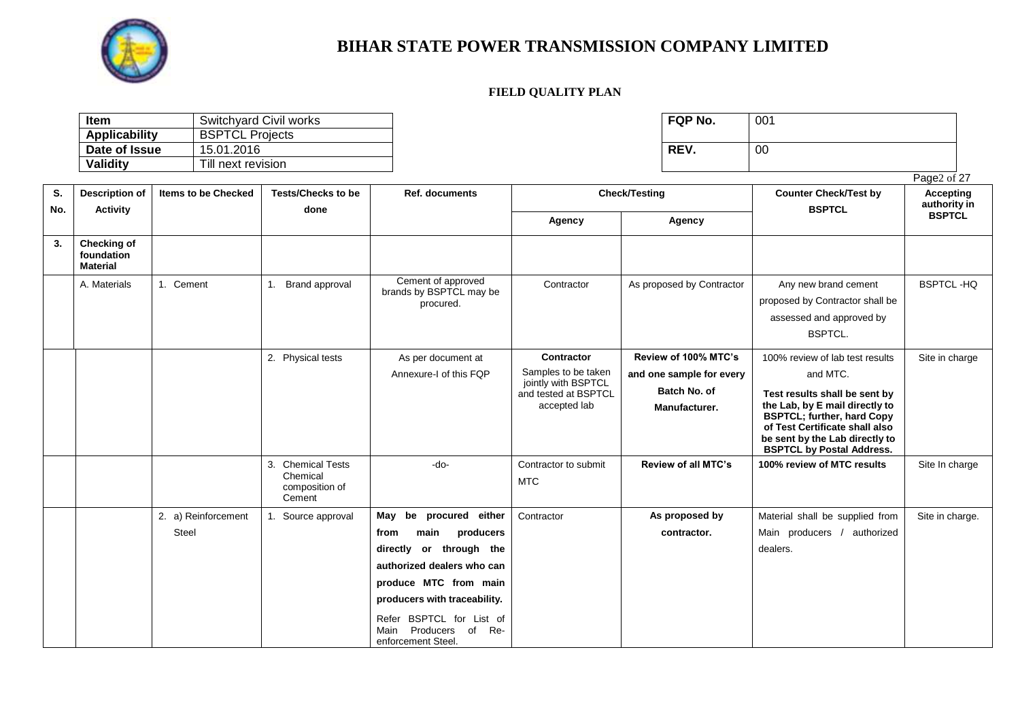

| <b>Item</b>   | Switchyard Civil works | <b>FQP No.</b> | 001 |
|---------------|------------------------|----------------|-----|
| Applicability | <b>BSPTCL Projects</b> |                |     |
| Date of Issue | 15.01.2016             | <b>REV</b>     | 00  |
| Validity      | Till next revision     |                |     |

| FQP No. | 001 |
|---------|-----|
| REV.    | 00  |

|           |                                                     |                              |                                                                     |                                                                                                                                                                                                                                                        |                                                                                                  |                                                                                   |                                                                                                                                                                                                                                                             | Page2 of 27                      |
|-----------|-----------------------------------------------------|------------------------------|---------------------------------------------------------------------|--------------------------------------------------------------------------------------------------------------------------------------------------------------------------------------------------------------------------------------------------------|--------------------------------------------------------------------------------------------------|-----------------------------------------------------------------------------------|-------------------------------------------------------------------------------------------------------------------------------------------------------------------------------------------------------------------------------------------------------------|----------------------------------|
| S.<br>No. | <b>Description of</b>                               | <b>Items to be Checked</b>   | <b>Tests/Checks to be</b>                                           | Ref. documents                                                                                                                                                                                                                                         |                                                                                                  | <b>Check/Testing</b>                                                              | <b>Counter Check/Test by</b><br><b>BSPTCL</b>                                                                                                                                                                                                               | <b>Accepting</b><br>authority in |
|           | <b>Activity</b>                                     |                              | done                                                                |                                                                                                                                                                                                                                                        | Agency                                                                                           | Agency                                                                            |                                                                                                                                                                                                                                                             | <b>BSPTCL</b>                    |
| 3.        | <b>Checking of</b><br>foundation<br><b>Material</b> |                              |                                                                     |                                                                                                                                                                                                                                                        |                                                                                                  |                                                                                   |                                                                                                                                                                                                                                                             |                                  |
|           | A. Materials                                        | 1. Cement                    | Brand approval<br>1.                                                | Cement of approved<br>brands by BSPTCL may be<br>procured.                                                                                                                                                                                             | Contractor                                                                                       | As proposed by Contractor                                                         | Any new brand cement<br>proposed by Contractor shall be<br>assessed and approved by<br><b>BSPTCL.</b>                                                                                                                                                       | <b>BSPTCL-HQ</b>                 |
|           |                                                     |                              | 2. Physical tests                                                   | As per document at<br>Annexure-I of this FQP                                                                                                                                                                                                           | Contractor<br>Samples to be taken<br>jointly with BSPTCL<br>and tested at BSPTCL<br>accepted lab | Review of 100% MTC's<br>and one sample for every<br>Batch No. of<br>Manufacturer. | 100% review of lab test results<br>and MTC.<br>Test results shall be sent by<br>the Lab, by E mail directly to<br><b>BSPTCL; further, hard Copy</b><br>of Test Certificate shall also<br>be sent by the Lab directly to<br><b>BSPTCL by Postal Address.</b> | Site in charge                   |
|           |                                                     |                              | <b>Chemical Tests</b><br>3.<br>Chemical<br>composition of<br>Cement | -do-                                                                                                                                                                                                                                                   | Contractor to submit<br><b>MTC</b>                                                               | Review of all MTC's                                                               | 100% review of MTC results                                                                                                                                                                                                                                  | Site In charge                   |
|           |                                                     | 2. a) Reinforcement<br>Steel | 1. Source approval                                                  | be procured either<br>May<br>producers<br>from<br>main<br>directly or through the<br>authorized dealers who can<br>produce MTC from main<br>producers with traceability.<br>Refer BSPTCL for List of<br>Main Producers of<br>Re-<br>enforcement Steel. | Contractor                                                                                       | As proposed by<br>contractor.                                                     | Material shall be supplied from<br>Main producers / authorized<br>dealers.                                                                                                                                                                                  | Site in charge.                  |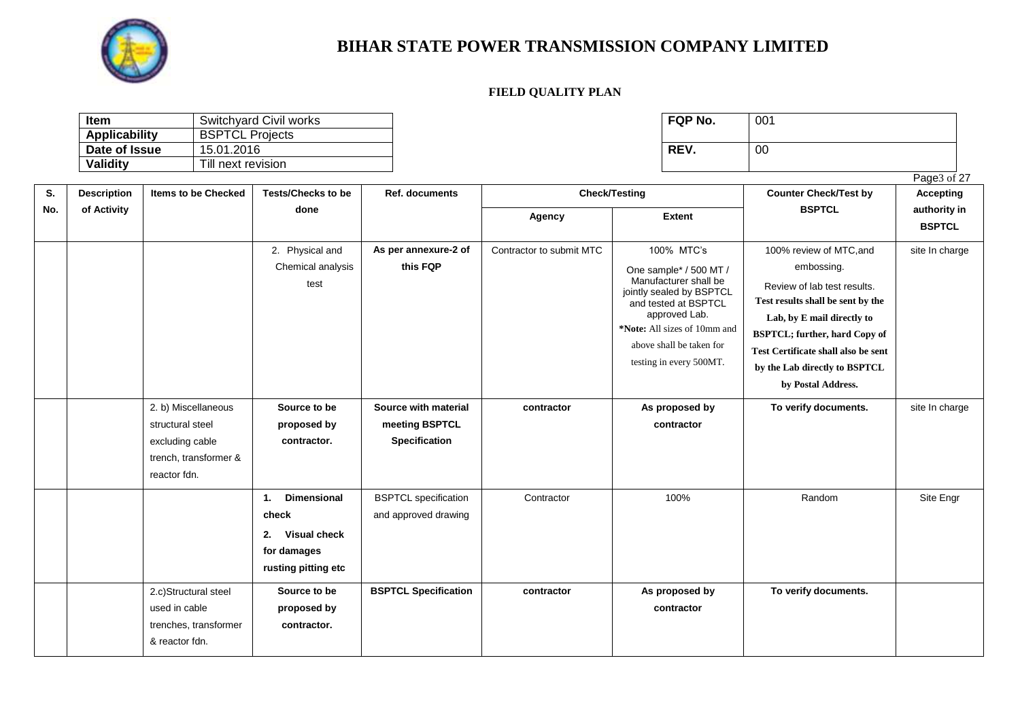

| <b>Item</b>   | Switchyard Civil works | <b>FQP No.</b> | 001 |
|---------------|------------------------|----------------|-----|
| Applicability | <b>BSPTCL Projects</b> |                |     |
| Date of Issue | 15.01.2016             | REV.           | 00  |
| Validity      | Till next revision     |                |     |

| FQP No. | 001 |
|---------|-----|
| REV.    | 00  |

|     |                    |                                                                                                     |                                                                                               |                                                         |                          |                                                                                                                                                                                                                           |                                                                                                                                                                                                                                                                               | Page3 of 27                   |
|-----|--------------------|-----------------------------------------------------------------------------------------------------|-----------------------------------------------------------------------------------------------|---------------------------------------------------------|--------------------------|---------------------------------------------------------------------------------------------------------------------------------------------------------------------------------------------------------------------------|-------------------------------------------------------------------------------------------------------------------------------------------------------------------------------------------------------------------------------------------------------------------------------|-------------------------------|
| S.  | <b>Description</b> | <b>Items to be Checked</b>                                                                          | <b>Tests/Checks to be</b>                                                                     | Ref. documents                                          |                          | <b>Check/Testing</b>                                                                                                                                                                                                      | <b>Counter Check/Test by</b>                                                                                                                                                                                                                                                  | <b>Accepting</b>              |
| No. | of Activity        |                                                                                                     | done                                                                                          |                                                         | Agency                   | <b>Extent</b>                                                                                                                                                                                                             | <b>BSPTCL</b>                                                                                                                                                                                                                                                                 | authority in<br><b>BSPTCL</b> |
|     |                    |                                                                                                     | 2. Physical and<br>Chemical analysis<br>test                                                  | As per annexure-2 of<br>this FQP                        | Contractor to submit MTC | 100% MTC's<br>One sample* / 500 MT /<br>Manufacturer shall be<br>jointly sealed by BSPTCL<br>and tested at BSPTCL<br>approved Lab.<br>*Note: All sizes of 10mm and<br>above shall be taken for<br>testing in every 500MT. | 100% review of MTC, and<br>embossing.<br>Review of lab test results.<br>Test results shall be sent by the<br>Lab, by E mail directly to<br><b>BSPTCL; further, hard Copy of</b><br>Test Certificate shall also be sent<br>by the Lab directly to BSPTCL<br>by Postal Address. | site In charge                |
|     |                    | 2. b) Miscellaneous<br>structural steel<br>excluding cable<br>trench, transformer &<br>reactor fdn. | Source to be<br>proposed by<br>contractor.                                                    | Source with material<br>meeting BSPTCL<br>Specification | contractor               | As proposed by<br>contractor                                                                                                                                                                                              | To verify documents.                                                                                                                                                                                                                                                          | site In charge                |
|     |                    |                                                                                                     | <b>Dimensional</b><br>1.<br>check<br>Visual check<br>2.<br>for damages<br>rusting pitting etc | <b>BSPTCL</b> specification<br>and approved drawing     | Contractor               | 100%                                                                                                                                                                                                                      | Random                                                                                                                                                                                                                                                                        | Site Engr                     |
|     |                    | 2.c)Structural steel<br>used in cable<br>trenches, transformer<br>& reactor fdn.                    | Source to be<br>proposed by<br>contractor.                                                    | <b>BSPTCL Specification</b>                             | contractor               | As proposed by<br>contractor                                                                                                                                                                                              | To verify documents.                                                                                                                                                                                                                                                          |                               |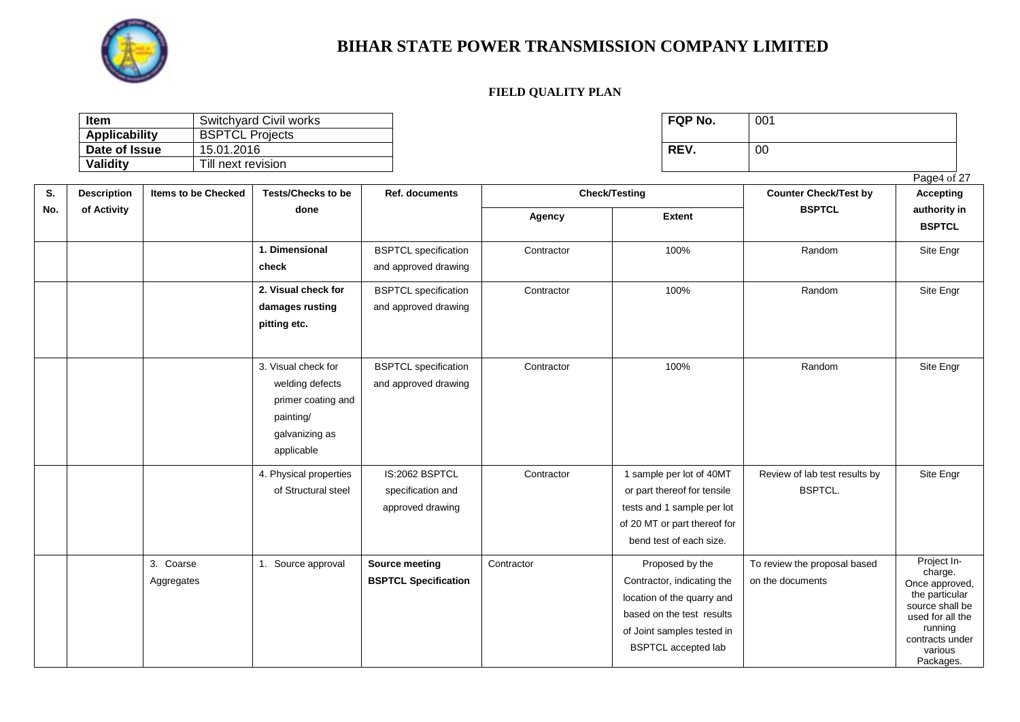

| <b>Item</b>          | Switchyard Civil works | FQP No. | 001 |
|----------------------|------------------------|---------|-----|
| <b>Applicability</b> | <b>BSPTCL Projects</b> |         |     |
| Date of Issue        | 15.01.2016             | REV.    | 00  |
| Validity             | Till next revision     |         |     |

|     |                    |                            |                                                                                                           |                                                         |            |                                                                                                                                                                      |                                                  | Page4 of 27                                                                                                                                             |
|-----|--------------------|----------------------------|-----------------------------------------------------------------------------------------------------------|---------------------------------------------------------|------------|----------------------------------------------------------------------------------------------------------------------------------------------------------------------|--------------------------------------------------|---------------------------------------------------------------------------------------------------------------------------------------------------------|
| S.  | <b>Description</b> | <b>Items to be Checked</b> | <b>Tests/Checks to be</b>                                                                                 | Ref. documents                                          |            | <b>Check/Testing</b>                                                                                                                                                 | <b>Counter Check/Test by</b>                     | <b>Accepting</b>                                                                                                                                        |
| No. | of Activity        |                            | done                                                                                                      |                                                         | Agency     | <b>Extent</b>                                                                                                                                                        | <b>BSPTCL</b>                                    | authority in<br><b>BSPTCL</b>                                                                                                                           |
|     |                    |                            | 1. Dimensional<br>check                                                                                   | <b>BSPTCL</b> specification<br>and approved drawing     | Contractor | 100%                                                                                                                                                                 | Random                                           | Site Engr                                                                                                                                               |
|     |                    |                            | 2. Visual check for<br>damages rusting<br>pitting etc.                                                    | <b>BSPTCL</b> specification<br>and approved drawing     | Contractor | 100%                                                                                                                                                                 | Random                                           | Site Engr                                                                                                                                               |
|     |                    |                            | 3. Visual check for<br>welding defects<br>primer coating and<br>painting/<br>galvanizing as<br>applicable | <b>BSPTCL</b> specification<br>and approved drawing     | Contractor | 100%                                                                                                                                                                 | Random                                           | Site Engr                                                                                                                                               |
|     |                    |                            | 4. Physical properties<br>of Structural steel                                                             | IS:2062 BSPTCL<br>specification and<br>approved drawing | Contractor | 1 sample per lot of 40MT<br>or part thereof for tensile<br>tests and 1 sample per lot<br>of 20 MT or part thereof for<br>bend test of each size.                     | Review of lab test results by<br><b>BSPTCL.</b>  | Site Engr                                                                                                                                               |
|     |                    | 3. Coarse<br>Aggregates    | 1. Source approval                                                                                        | Source meeting<br><b>BSPTCL Specification</b>           | Contractor | Proposed by the<br>Contractor, indicating the<br>location of the quarry and<br>based on the test results<br>of Joint samples tested in<br><b>BSPTCL</b> accepted lab | To review the proposal based<br>on the documents | Project In-<br>charge.<br>Once approved,<br>the particular<br>source shall be<br>used for all the<br>running<br>contracts under<br>various<br>Packages. |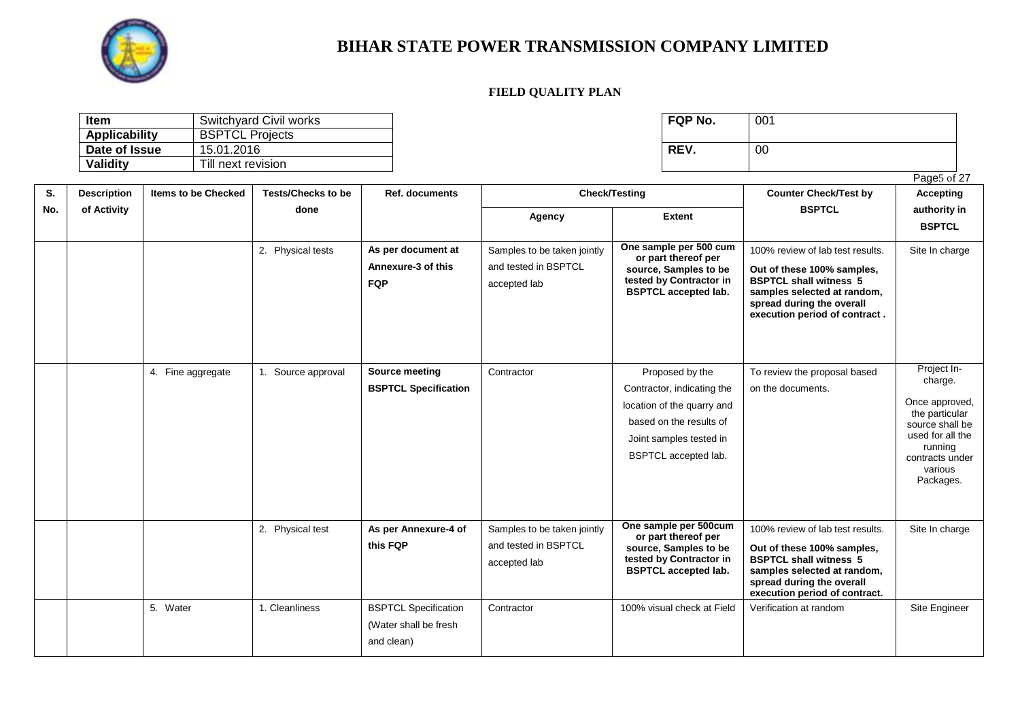

**S. No.** **Description of Activity**

### **BIHAR STATE POWER TRANSMISSION COMPANY LIMITED**

#### **FIELD QUALITY PLAN**

| <b>Item</b>   | Switchyard Civil works | <b>FQP No.</b> | 001 |
|---------------|------------------------|----------------|-----|
| Applicability | <b>BSPTCL Projects</b> |                |     |
| Date of Issue | 15.01.2016             | REV.           | 00  |
| Validity      | Till next revision     |                |     |

| FQP No. | 001 |
|---------|-----|
| REV.    | 00  |

Page<sub>5</sub> of 27

**Items to be Checked Tests/Checks to be done Ref. documents Check/Testing Counter Check/Test by BSPTCL Accepting authority in BSPTCL Agency Extent** 2. Physical tests **As per document at Annexure-3 of this FQP**  Samples to be taken jointly and tested in BSPTCL accepted lab **One sample per 500 cum or part thereof per source, Samples to be tested by Contractor in BSPTCL accepted lab.**  100% review of lab test results. **Out of these 100% samples, BSPTCL shall witness 5 samples selected at random, spread during the overall execution period of contract .**  Site In charge **BSPTCL Specification** Contractor **Proposed by the** Contractor, indicating the location of the quarry and based on the results of Joint samples tested in BSPTCL accepted lab. To review the proposal based on the documents. Project Incharge. nce approved, to approved<br>he particular vurce shall be sed for all the running ntracts under various Packages.

|  |                   |                  |                                                      |                                                                     |                                                                                                                                                           | execution period of contract.                                                                                                                                                                |                                                                                                                                                        |
|--|-------------------|------------------|------------------------------------------------------|---------------------------------------------------------------------|-----------------------------------------------------------------------------------------------------------------------------------------------------------|----------------------------------------------------------------------------------------------------------------------------------------------------------------------------------------------|--------------------------------------------------------------------------------------------------------------------------------------------------------|
|  | 4. Fine aggregate | Source approval  | Source meeting<br><b>BSPTCL Specification</b>        | Contractor                                                          | Proposed by the<br>Contractor, indicating the<br>location of the quarry and<br>based on the results of<br>Joint samples tested in<br>BSPTCL accepted lab. | To review the proposal based<br>on the documents.                                                                                                                                            | Project In-<br>charge.<br>Once approved<br>the particular<br>source shall be<br>used for all the<br>running<br>contracts under<br>various<br>Packages. |
|  |                   | 2. Physical test | As per Annexure-4 of<br>this FQP                     | Samples to be taken jointly<br>and tested in BSPTCL<br>accepted lab | One sample per 500cum<br>or part thereof per<br>source, Samples to be<br>tested by Contractor in<br><b>BSPTCL accepted lab.</b>                           | 100% review of lab test results.<br>Out of these 100% samples,<br><b>BSPTCL shall witness 5</b><br>samples selected at random,<br>spread during the overall<br>execution period of contract. | Site In charge                                                                                                                                         |
|  | 5. Water          | 1. Cleanliness   | <b>BSPTCL Specification</b><br>(Water shall be fresh | Contractor                                                          | 100% visual check at Field                                                                                                                                | Verification at random                                                                                                                                                                       | Site Engineer                                                                                                                                          |

and clean)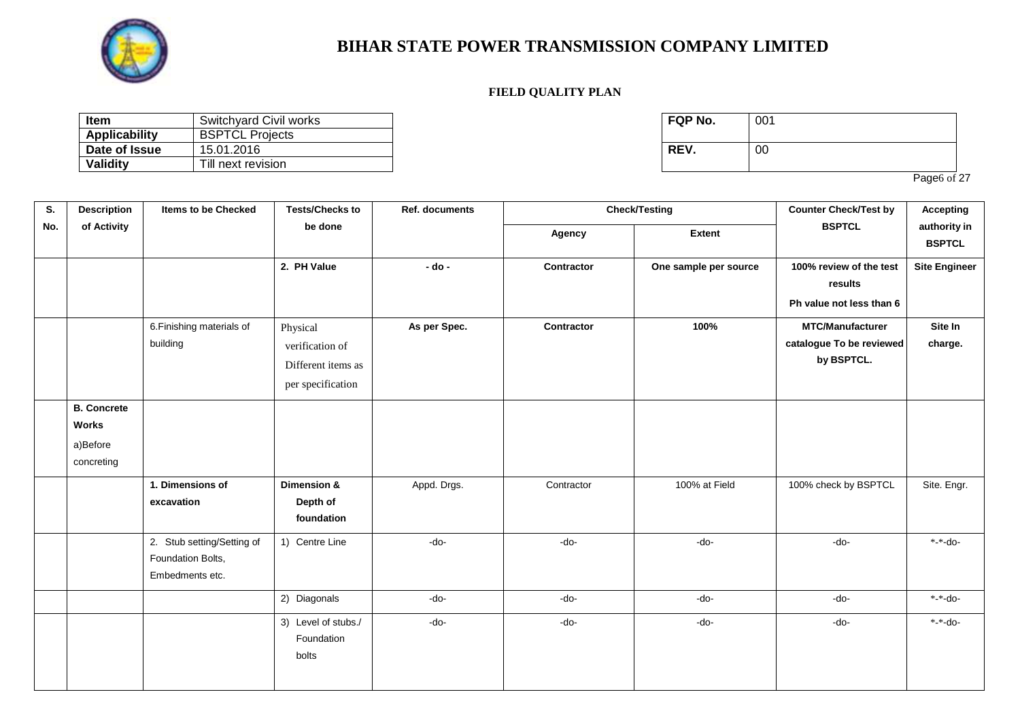

#### **FIELD QUALITY PLAN**

| Item          | Switchyard Civil works | <b>FQP No.</b> | 001 |
|---------------|------------------------|----------------|-----|
| Applicability | <b>BSPTCL Projects</b> |                |     |
| Date of Issue | 15.01.2016             | REV.           | 00  |
| Validity      | Till next revision     |                |     |

| FQP No. | 001 |
|---------|-----|
| REV.    | 00  |

Page6 of 27

| S.  | <b>Description</b>                                    | <b>Items to be Checked</b>                                         | <b>Tests/Checks to</b>                                                 | <b>Ref. documents</b> |            | <b>Check/Testing</b>  | <b>Counter Check/Test by</b>                                      | <b>Accepting</b>              |
|-----|-------------------------------------------------------|--------------------------------------------------------------------|------------------------------------------------------------------------|-----------------------|------------|-----------------------|-------------------------------------------------------------------|-------------------------------|
| No. | of Activity                                           |                                                                    | be done                                                                |                       | Agency     | <b>Extent</b>         | <b>BSPTCL</b>                                                     | authority in<br><b>BSPTCL</b> |
|     |                                                       |                                                                    | 2. PH Value                                                            | $-$ do $-$            | Contractor | One sample per source | 100% review of the test<br>results<br>Ph value not less than 6    | <b>Site Engineer</b>          |
|     |                                                       | 6. Finishing materials of<br>building                              | Physical<br>verification of<br>Different items as<br>per specification | As per Spec.          | Contractor | 100%                  | <b>MTC/Manufacturer</b><br>catalogue To be reviewed<br>by BSPTCL. | Site In<br>charge.            |
|     | <b>B.</b> Concrete<br>Works<br>a)Before<br>concreting |                                                                    |                                                                        |                       |            |                       |                                                                   |                               |
|     |                                                       | 1. Dimensions of<br>excavation                                     | Dimension &<br>Depth of<br>foundation                                  | Appd. Drgs.           | Contractor | 100% at Field         | 100% check by BSPTCL                                              | Site. Engr.                   |
|     |                                                       | 2. Stub setting/Setting of<br>Foundation Bolts,<br>Embedments etc. | 1) Centre Line                                                         | $-do-$                | $-do-$     | $-do-$                | $-do-$                                                            | *-*-do-                       |
|     |                                                       |                                                                    | 2) Diagonals                                                           | $-do-$                | $-do-$     | $-do-$                | $-do-$                                                            | *-*-do-                       |
|     |                                                       |                                                                    | 3) Level of stubs./<br>Foundation<br>bolts                             | $-do-$                | $-do-$     | $-do-$                | $-do-$                                                            | *-*-do-                       |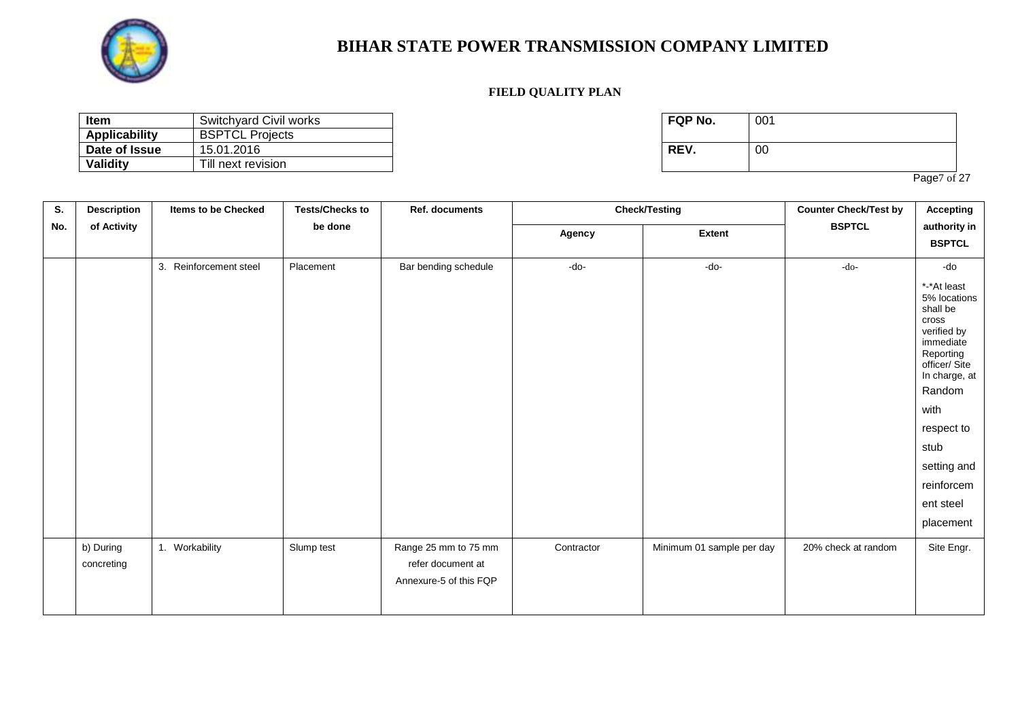

#### **FIELD QUALITY PLAN**

| <b>Item</b>   | Switchyard Civil works | <b>FQP No.</b> | 001 |
|---------------|------------------------|----------------|-----|
| Applicability | <b>BSPTCL Projects</b> |                |     |
| Date of Issue | 15.01.2016             | REV.           | 00  |
| Validity      | Till next revision     |                |     |

| FQP No. | 001 |
|---------|-----|
| REV.    | 00  |

Page7 of 27

| S.  | <b>Description</b>      | Items to be Checked    | <b>Tests/Checks to</b> | <b>Ref. documents</b>                                               |            | <b>Check/Testing</b>      | <b>Counter Check/Test by</b> | <b>Accepting</b>                                                                                                                                                                                                           |
|-----|-------------------------|------------------------|------------------------|---------------------------------------------------------------------|------------|---------------------------|------------------------------|----------------------------------------------------------------------------------------------------------------------------------------------------------------------------------------------------------------------------|
| No. | of Activity             |                        | be done                |                                                                     | Agency     | <b>Extent</b>             | <b>BSPTCL</b>                | authority in<br><b>BSPTCL</b>                                                                                                                                                                                              |
|     |                         | 3. Reinforcement steel | Placement              | Bar bending schedule                                                | $-do-$     | $-do-$                    | $-do-$                       | -do                                                                                                                                                                                                                        |
|     |                         |                        |                        |                                                                     |            |                           |                              | *-*At least<br>5% locations<br>shall be<br>cross<br>verified by<br>immediate<br>Reporting<br>officer/ Site<br>In charge, at<br>Random<br>with<br>respect to<br>stub<br>setting and<br>reinforcem<br>ent steel<br>placement |
|     | b) During<br>concreting | 1. Workability         | Slump test             | Range 25 mm to 75 mm<br>refer document at<br>Annexure-5 of this FQP | Contractor | Minimum 01 sample per day | 20% check at random          | Site Engr.                                                                                                                                                                                                                 |
|     |                         |                        |                        |                                                                     |            |                           |                              |                                                                                                                                                                                                                            |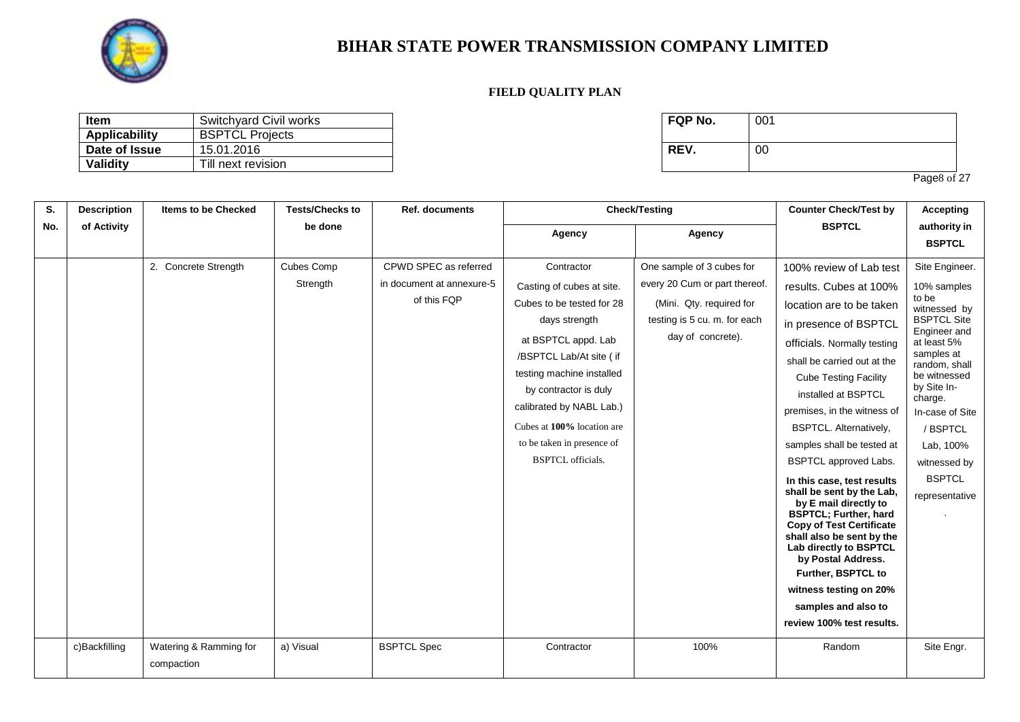

#### **FIELD QUALITY PLAN**

| Item          | Switchyard Civil works | <b>FQP No.</b> | 001 |
|---------------|------------------------|----------------|-----|
| Applicability | <b>BSPTCL Projects</b> |                |     |
| Date of Issue | 15.01.2016             | <b>REV.</b>    | 00  |
| Validity      | Till next revision     |                |     |

| FQP No. | 001 |
|---------|-----|
| REV.    | 00  |

Page<sub>8</sub> of 27

| S.  | <b>Description</b> | <b>Items to be Checked</b> | <b>Tests/Checks to</b> | <b>Ref. documents</b>     |                            | <b>Check/Testing</b>          | <b>Counter Check/Test by</b>                                    | <b>Accepting</b>            |
|-----|--------------------|----------------------------|------------------------|---------------------------|----------------------------|-------------------------------|-----------------------------------------------------------------|-----------------------------|
| No. | of Activity        |                            | be done                |                           | Agency                     | Agency                        | <b>BSPTCL</b>                                                   | authority in                |
|     |                    |                            |                        |                           |                            |                               |                                                                 | <b>BSPTCL</b>               |
|     |                    | 2. Concrete Strength       | Cubes Comp             | CPWD SPEC as referred     | Contractor                 | One sample of 3 cubes for     | 100% review of Lab test                                         | Site Engineer.              |
|     |                    |                            | Strength               | in document at annexure-5 | Casting of cubes at site.  | every 20 Cum or part thereof. | results. Cubes at 100%                                          | 10% samples                 |
|     |                    |                            |                        | of this FQP               | Cubes to be tested for 28  | (Mini. Qty. required for      | location are to be taken                                        | to be<br>witnessed by       |
|     |                    |                            |                        |                           | days strength              | testing is 5 cu. m. for each  | in presence of BSPTCL                                           | <b>BSPTCL Site</b>          |
|     |                    |                            |                        |                           | at BSPTCL appd. Lab        | day of concrete).             | officials. Normally testing                                     | Engineer and<br>at least 5% |
|     |                    |                            |                        |                           | /BSPTCL Lab/At site ( if   |                               | shall be carried out at the                                     | samples at<br>random, shall |
|     |                    |                            |                        |                           | testing machine installed  |                               | <b>Cube Testing Facility</b>                                    | be witnessed                |
|     |                    |                            |                        |                           | by contractor is duly      |                               | installed at BSPTCL                                             | by Site In-<br>charge.      |
|     |                    |                            |                        |                           | calibrated by NABL Lab.)   |                               | premises, in the witness of                                     | In-case of Site             |
|     |                    |                            |                        |                           | Cubes at 100% location are |                               | <b>BSPTCL. Alternatively,</b>                                   | / BSPTCL                    |
|     |                    |                            |                        |                           | to be taken in presence of |                               | samples shall be tested at                                      | Lab, 100%                   |
|     |                    |                            |                        |                           | <b>BSPTCL</b> officials.   |                               | <b>BSPTCL approved Labs.</b>                                    | witnessed by                |
|     |                    |                            |                        |                           |                            |                               | In this case, test results                                      | <b>BSPTCL</b>               |
|     |                    |                            |                        |                           |                            |                               | shall be sent by the Lab,<br>by E mail directly to              | representative              |
|     |                    |                            |                        |                           |                            |                               | <b>BSPTCL; Further, hard</b><br><b>Copy of Test Certificate</b> |                             |
|     |                    |                            |                        |                           |                            |                               | shall also be sent by the<br>Lab directly to BSPTCL             |                             |
|     |                    |                            |                        |                           |                            |                               | by Postal Address.                                              |                             |
|     |                    |                            |                        |                           |                            |                               | Further, BSPTCL to                                              |                             |
|     |                    |                            |                        |                           |                            |                               | witness testing on 20%                                          |                             |
|     |                    |                            |                        |                           |                            |                               | samples and also to                                             |                             |
|     |                    |                            |                        |                           |                            |                               | review 100% test results.                                       |                             |
|     | c)Backfilling      | Watering & Ramming for     | a) Visual              | <b>BSPTCL Spec</b>        | Contractor                 | 100%                          | Random                                                          | Site Engr.                  |
|     |                    | compaction                 |                        |                           |                            |                               |                                                                 |                             |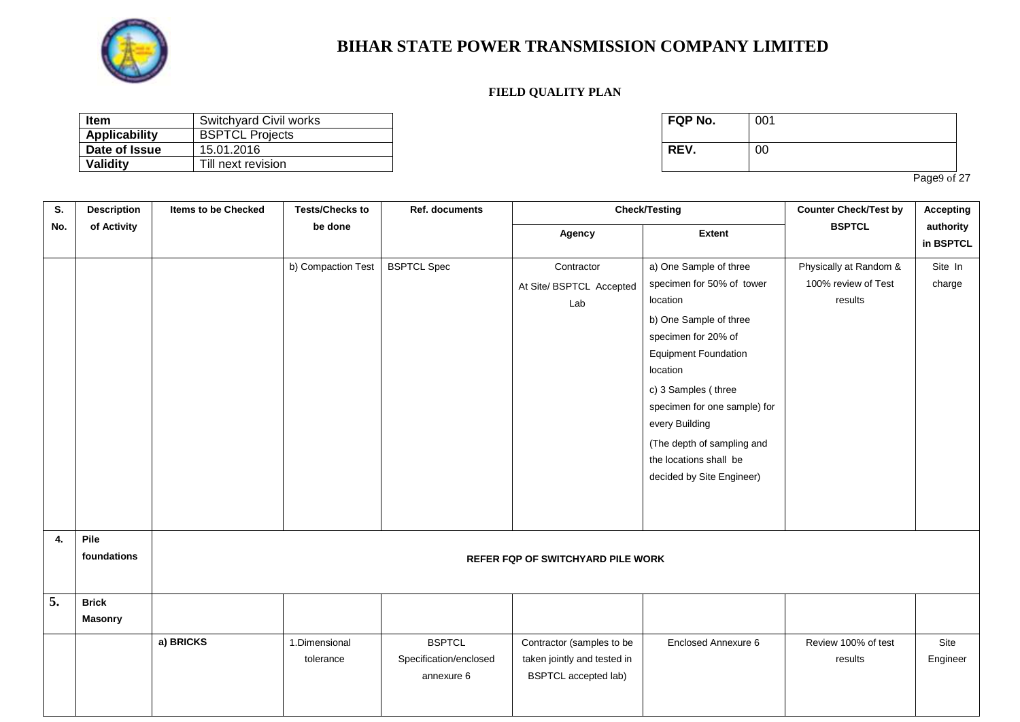

### **FIELD QUALITY PLAN**

| Item                 | Switchyard Civil works | <b>FQP No.</b> | 001 |
|----------------------|------------------------|----------------|-----|
| <b>Applicability</b> | <b>BSPTCL Projects</b> |                |     |
| Date of Issue        | 15.01.2016             | REV.           | 00  |
| Validity             | Till next revision     |                |     |

| FQP No. | 001 |
|---------|-----|
| REV.    | 00  |

Page9 of 27

| S.  | <b>Description</b>             | <b>Items to be Checked</b> | <b>Tests/Checks to</b>                   | Ref. documents                                        |                                                                                         | <b>Check/Testing</b>                                                                                                                                                                                                                                                                                                      | <b>Counter Check/Test by</b>                             | <b>Accepting</b>       |  |  |
|-----|--------------------------------|----------------------------|------------------------------------------|-------------------------------------------------------|-----------------------------------------------------------------------------------------|---------------------------------------------------------------------------------------------------------------------------------------------------------------------------------------------------------------------------------------------------------------------------------------------------------------------------|----------------------------------------------------------|------------------------|--|--|
| No. | of Activity                    |                            | be done                                  |                                                       | Agency                                                                                  | <b>Extent</b>                                                                                                                                                                                                                                                                                                             | <b>BSPTCL</b>                                            | authority<br>in BSPTCL |  |  |
|     |                                |                            | b) Compaction Test                       | <b>BSPTCL Spec</b>                                    | Contractor<br>At Site/ BSPTCL Accepted<br>Lab                                           | a) One Sample of three<br>specimen for 50% of tower<br>location<br>b) One Sample of three<br>specimen for 20% of<br><b>Equipment Foundation</b><br>location<br>c) 3 Samples (three<br>specimen for one sample) for<br>every Building<br>(The depth of sampling and<br>the locations shall be<br>decided by Site Engineer) | Physically at Random &<br>100% review of Test<br>results | Site In<br>charge      |  |  |
| 4.  | Pile<br>foundations            |                            | <b>REFER FQP OF SWITCHYARD PILE WORK</b> |                                                       |                                                                                         |                                                                                                                                                                                                                                                                                                                           |                                                          |                        |  |  |
| 5.  | <b>Brick</b><br><b>Masonry</b> |                            |                                          |                                                       |                                                                                         |                                                                                                                                                                                                                                                                                                                           |                                                          |                        |  |  |
|     |                                | a) BRICKS                  | 1.Dimensional<br>tolerance               | <b>BSPTCL</b><br>Specification/enclosed<br>annexure 6 | Contractor (samples to be<br>taken jointly and tested in<br><b>BSPTCL</b> accepted lab) | Enclosed Annexure 6                                                                                                                                                                                                                                                                                                       | Review 100% of test<br>results                           | Site<br>Engineer       |  |  |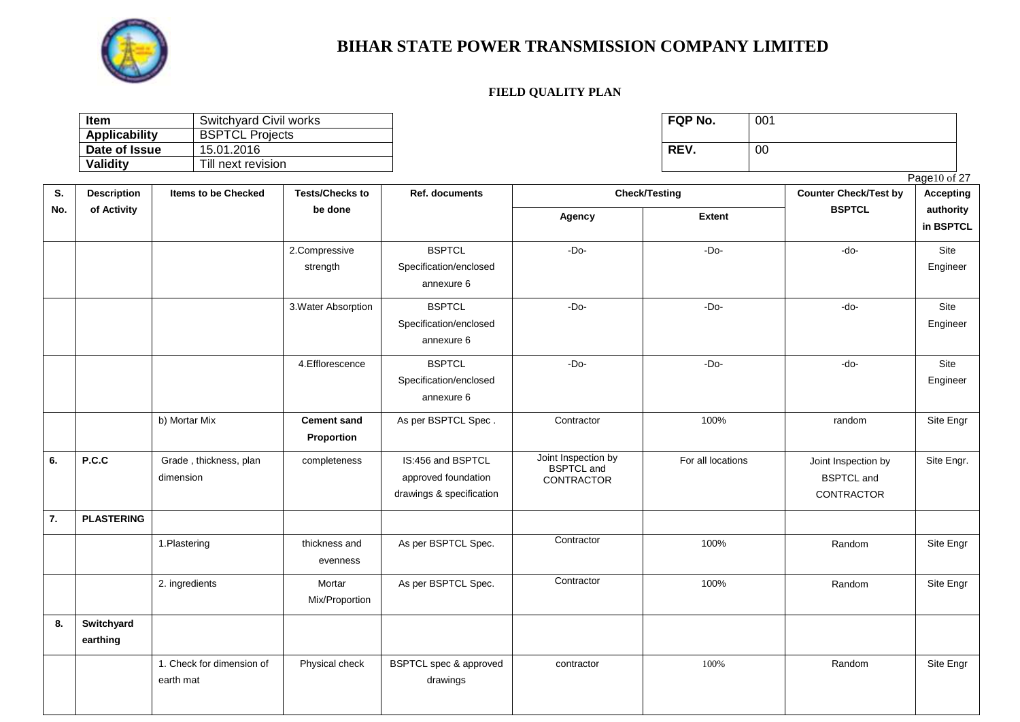

| ltem                 | Switchyard Civil works | <b>FQP No.</b> | 001 |
|----------------------|------------------------|----------------|-----|
| <b>Applicability</b> | <b>BSPTCL Projects</b> |                |     |
| Date of Issue        | 15.01.2016             | REV.           | 00  |
| Validity             | Till next revision     |                |     |

|     |                        |                                                                 |                                  |                                                                      |                                                               |                      |                                                        | Page10 of 27     |
|-----|------------------------|-----------------------------------------------------------------|----------------------------------|----------------------------------------------------------------------|---------------------------------------------------------------|----------------------|--------------------------------------------------------|------------------|
| S.  | <b>Description</b>     | <b>Tests/Checks to</b><br><b>Items to be Checked</b><br>be done |                                  | Ref. documents                                                       |                                                               | <b>Check/Testing</b> | <b>Counter Check/Test by</b>                           | <b>Accepting</b> |
| No. | of Activity            |                                                                 |                                  | Agency                                                               | <b>Extent</b>                                                 | <b>BSPTCL</b>        | authority<br>in BSPTCL                                 |                  |
|     |                        |                                                                 | 2.Compressive<br>strength        | <b>BSPTCL</b><br>Specification/enclosed<br>annexure 6                | $-Do-$                                                        | $-Do-$               | $-do-$                                                 | Site<br>Engineer |
|     |                        |                                                                 | 3. Water Absorption              | <b>BSPTCL</b><br>Specification/enclosed<br>annexure 6                | $-Do-$                                                        | $-Do-$               | $-do-$                                                 | Site<br>Engineer |
|     |                        |                                                                 | 4.Efflorescence                  | <b>BSPTCL</b><br>Specification/enclosed<br>annexure 6                | $-Do-$                                                        | $-Do-$               | $-do-$                                                 | Site<br>Engineer |
|     |                        | b) Mortar Mix                                                   | <b>Cement sand</b><br>Proportion | As per BSPTCL Spec.                                                  | Contractor                                                    | 100%                 | random                                                 | Site Engr        |
| 6.  | P.C.C                  | Grade, thickness, plan<br>dimension                             | completeness                     | IS:456 and BSPTCL<br>approved foundation<br>drawings & specification | Joint Inspection by<br><b>BSPTCL</b> and<br><b>CONTRACTOR</b> | For all locations    | Joint Inspection by<br><b>BSPTCL</b> and<br>CONTRACTOR | Site Engr.       |
| 7.  | <b>PLASTERING</b>      |                                                                 |                                  |                                                                      |                                                               |                      |                                                        |                  |
|     |                        | 1.Plastering                                                    | thickness and<br>evenness        | As per BSPTCL Spec.                                                  | Contractor                                                    | 100%                 | Random                                                 | Site Engr        |
|     |                        | 2. ingredients                                                  | Mortar<br>Mix/Proportion         | As per BSPTCL Spec.                                                  | Contractor                                                    | 100%                 | Random                                                 | Site Engr        |
| 8.  | Switchyard<br>earthing |                                                                 |                                  |                                                                      |                                                               |                      |                                                        |                  |
|     |                        | 1. Check for dimension of<br>earth mat                          | Physical check                   | BSPTCL spec & approved<br>drawings                                   | contractor                                                    | 100%                 | Random                                                 | Site Engr        |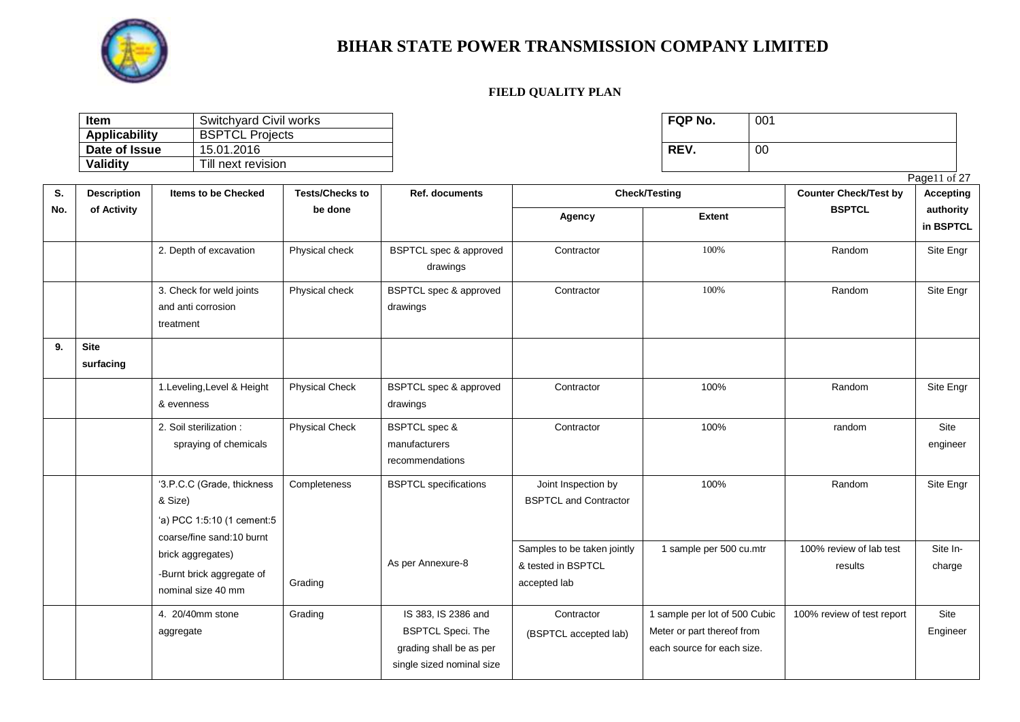

| <b>Item</b>   | Switchyard Civil works | <b>FQP No.</b> | 001 |
|---------------|------------------------|----------------|-----|
| Applicability | <b>BSPTCL Projects</b> |                |     |
| Date of Issue | 15.01.2016             | REV.           | 00  |
| Validity      | Till next revision     |                |     |

|     |                    |                            |                        |                                   | Page11 of 27                 |                               |                              |                  |  |
|-----|--------------------|----------------------------|------------------------|-----------------------------------|------------------------------|-------------------------------|------------------------------|------------------|--|
| S.  | <b>Description</b> | <b>Items to be Checked</b> | <b>Tests/Checks to</b> | Ref. documents                    |                              | <b>Check/Testing</b>          | <b>Counter Check/Test by</b> | <b>Accepting</b> |  |
| No. | of Activity        |                            | be done                |                                   | Agency                       | <b>Extent</b>                 | <b>BSPTCL</b>                | authority        |  |
|     |                    |                            |                        |                                   |                              |                               |                              | in BSPTCL        |  |
|     |                    | 2. Depth of excavation     | Physical check         | BSPTCL spec & approved            | Contractor                   | 100%                          | Random                       | Site Engr        |  |
|     |                    |                            |                        | drawings                          |                              |                               |                              |                  |  |
|     |                    | 3. Check for weld joints   | Physical check         | <b>BSPTCL spec &amp; approved</b> | Contractor                   | 100%                          | Random                       | Site Engr        |  |
|     |                    | and anti corrosion         |                        | drawings                          |                              |                               |                              |                  |  |
|     |                    | treatment                  |                        |                                   |                              |                               |                              |                  |  |
| 9.  | <b>Site</b>        |                            |                        |                                   |                              |                               |                              |                  |  |
|     | surfacing          |                            |                        |                                   |                              |                               |                              |                  |  |
|     |                    | 1.Leveling, Level & Height | <b>Physical Check</b>  | <b>BSPTCL spec &amp; approved</b> | Contractor                   | 100%                          | Random                       | Site Engr        |  |
|     |                    | & evenness                 |                        | drawings                          |                              |                               |                              |                  |  |
|     |                    | 2. Soil sterilization:     | <b>Physical Check</b>  | <b>BSPTCL</b> spec &              | Contractor                   | 100%                          | random                       | Site             |  |
|     |                    | spraying of chemicals      |                        | manufacturers                     |                              |                               |                              | engineer         |  |
|     |                    |                            |                        | recommendations                   |                              |                               |                              |                  |  |
|     |                    | '3.P.C.C (Grade, thickness | Completeness           | <b>BSPTCL</b> specifications      | Joint Inspection by          | 100%                          | Random                       | Site Engr        |  |
|     |                    | & Size)                    |                        |                                   | <b>BSPTCL and Contractor</b> |                               |                              |                  |  |
|     |                    | 'a) PCC 1:5:10 (1 cement:5 |                        |                                   |                              |                               |                              |                  |  |
|     |                    | coarse/fine sand:10 burnt  |                        |                                   |                              |                               |                              |                  |  |
|     |                    | brick aggregates)          |                        | As per Annexure-8                 | Samples to be taken jointly  | 1 sample per 500 cu.mtr       | 100% review of lab test      | Site In-         |  |
|     |                    | -Burnt brick aggregate of  |                        |                                   | & tested in BSPTCL           |                               | results                      | charge           |  |
|     |                    | nominal size 40 mm         | Grading                |                                   | accepted lab                 |                               |                              |                  |  |
|     |                    | 4. 20/40mm stone           | Grading                | IS 383, IS 2386 and               | Contractor                   | 1 sample per lot of 500 Cubic | 100% review of test report   | Site             |  |
|     |                    | aggregate                  |                        | <b>BSPTCL Speci. The</b>          | (BSPTCL accepted lab)        | Meter or part thereof from    |                              | Engineer         |  |
|     |                    |                            |                        | grading shall be as per           |                              | each source for each size.    |                              |                  |  |
|     |                    |                            |                        | single sized nominal size         |                              |                               |                              |                  |  |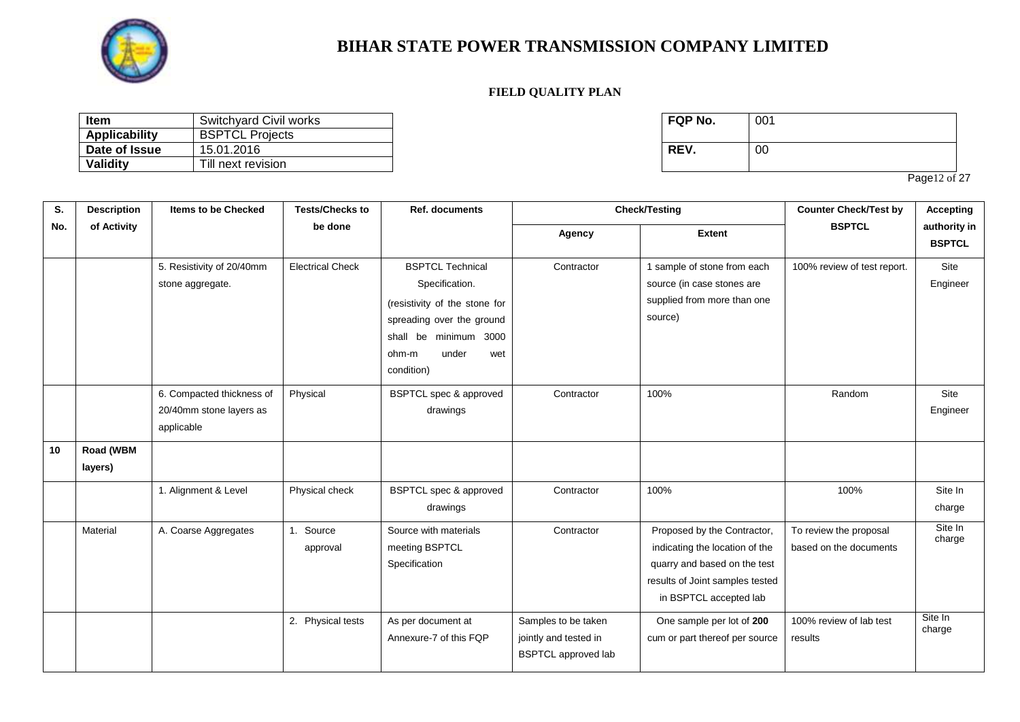

#### **FIELD QUALITY PLAN**

| <b>Item</b>          | Switchyard Civil works | FQP No. | 001 |
|----------------------|------------------------|---------|-----|
| <b>Applicability</b> | <b>BSPTCL Projects</b> |         |     |
| Date of Issue        | 15.01.2016             | REV.    | 00  |
| Validity             | Till next revision     |         |     |

| FQP No. | 001 |
|---------|-----|
| REV.    | 00  |

Page12 of 27

| S.  | <b>Description</b>   | <b>Items to be Checked</b>                                         | <b>Tests/Checks to</b>  | <b>Ref. documents</b>                                                                                                                                                   |                                                                            | <b>Check/Testing</b>                                                                                                                                       |                                                  | <b>Accepting</b>              |
|-----|----------------------|--------------------------------------------------------------------|-------------------------|-------------------------------------------------------------------------------------------------------------------------------------------------------------------------|----------------------------------------------------------------------------|------------------------------------------------------------------------------------------------------------------------------------------------------------|--------------------------------------------------|-------------------------------|
| No. | of Activity          |                                                                    | be done                 |                                                                                                                                                                         | Agency                                                                     | <b>Extent</b>                                                                                                                                              | <b>BSPTCL</b>                                    | authority in<br><b>BSPTCL</b> |
|     |                      | 5. Resistivity of 20/40mm<br>stone aggregate.                      | <b>Electrical Check</b> | <b>BSPTCL Technical</b><br>Specification.<br>(resistivity of the stone for<br>spreading over the ground<br>shall be minimum 3000<br>under<br>ohm-m<br>wet<br>condition) | Contractor                                                                 | 1 sample of stone from each<br>source (in case stones are<br>supplied from more than one<br>source)                                                        | 100% review of test report.                      | Site<br>Engineer              |
|     |                      | 6. Compacted thickness of<br>20/40mm stone layers as<br>applicable | Physical                | BSPTCL spec & approved<br>drawings                                                                                                                                      | Contractor                                                                 | 100%                                                                                                                                                       | Random                                           | Site<br>Engineer              |
| 10  | Road (WBM<br>layers) |                                                                    |                         |                                                                                                                                                                         |                                                                            |                                                                                                                                                            |                                                  |                               |
|     |                      | 1. Alignment & Level                                               | Physical check          | <b>BSPTCL spec &amp; approved</b><br>drawings                                                                                                                           | Contractor                                                                 | 100%                                                                                                                                                       | 100%                                             | Site In<br>charge             |
|     | Material             | A. Coarse Aggregates                                               | 1. Source<br>approval   | Source with materials<br>meeting BSPTCL<br>Specification                                                                                                                | Contractor                                                                 | Proposed by the Contractor,<br>indicating the location of the<br>quarry and based on the test<br>results of Joint samples tested<br>in BSPTCL accepted lab | To review the proposal<br>based on the documents | Site In<br>charge             |
|     |                      |                                                                    | 2. Physical tests       | As per document at<br>Annexure-7 of this FQP                                                                                                                            | Samples to be taken<br>jointly and tested in<br><b>BSPTCL</b> approved lab | One sample per lot of 200<br>cum or part thereof per source                                                                                                | 100% review of lab test<br>results               | Site In<br>charge             |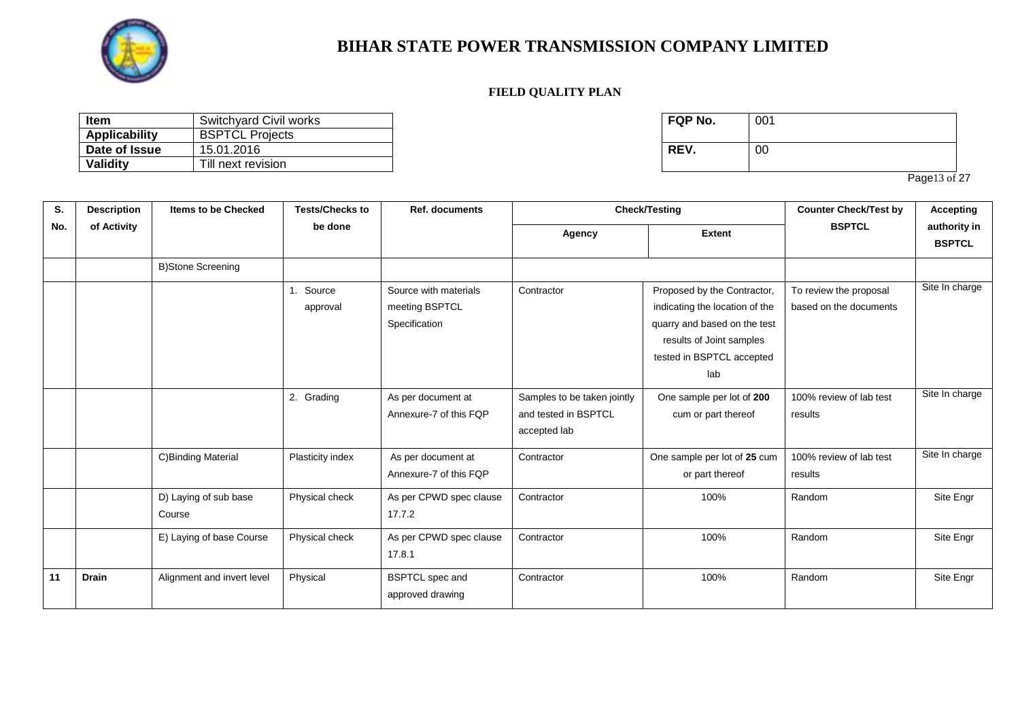

#### **FIELD QUALITY PLAN**

| <b>Item</b>   | Switchyard Civil works | <b>FQP No.</b> | 001 |
|---------------|------------------------|----------------|-----|
| Applicability | <b>BSPTCL Projects</b> |                |     |
| Date of Issue | 15.01.2016             | REV.           | 00  |
| Validity      | Till next revision     |                |     |

| FQP No. | 001 |
|---------|-----|
| REV.    | 00  |

Page13 of 27

| S.  | <b>Description</b> | <b>Items to be Checked</b>      | <b>Tests/Checks to</b> | <b>Ref. documents</b>                                    |                                                                     | <b>Check/Testing</b>                                                                                                                                          | <b>Counter Check/Test by</b>                     | <b>Accepting</b>              |
|-----|--------------------|---------------------------------|------------------------|----------------------------------------------------------|---------------------------------------------------------------------|---------------------------------------------------------------------------------------------------------------------------------------------------------------|--------------------------------------------------|-------------------------------|
| No. | of Activity        |                                 | be done                |                                                          | Agency                                                              | <b>Extent</b>                                                                                                                                                 | <b>BSPTCL</b>                                    | authority in<br><b>BSPTCL</b> |
|     |                    | <b>B)Stone Screening</b>        |                        |                                                          |                                                                     |                                                                                                                                                               |                                                  |                               |
|     |                    |                                 | 1. Source<br>approval  | Source with materials<br>meeting BSPTCL<br>Specification | Contractor                                                          | Proposed by the Contractor,<br>indicating the location of the<br>quarry and based on the test<br>results of Joint samples<br>tested in BSPTCL accepted<br>lab | To review the proposal<br>based on the documents | Site In charge                |
|     |                    |                                 | 2. Grading             | As per document at<br>Annexure-7 of this FQP             | Samples to be taken jointly<br>and tested in BSPTCL<br>accepted lab | One sample per lot of 200<br>cum or part thereof                                                                                                              | 100% review of lab test<br>results               | Site In charge                |
|     |                    | C)Binding Material              | Plasticity index       | As per document at<br>Annexure-7 of this FQP             | Contractor                                                          | One sample per lot of 25 cum<br>or part thereof                                                                                                               | 100% review of lab test<br>results               | Site In charge                |
|     |                    | D) Laying of sub base<br>Course | Physical check         | As per CPWD spec clause<br>17.7.2                        | Contractor                                                          | 100%                                                                                                                                                          | Random                                           | Site Engr                     |
|     |                    | E) Laying of base Course        | Physical check         | As per CPWD spec clause<br>17.8.1                        | Contractor                                                          | 100%                                                                                                                                                          | Random                                           | Site Engr                     |
| 11  | <b>Drain</b>       | Alignment and invert level      | Physical               | <b>BSPTCL</b> spec and<br>approved drawing               | Contractor                                                          | 100%                                                                                                                                                          | Random                                           | Site Engr                     |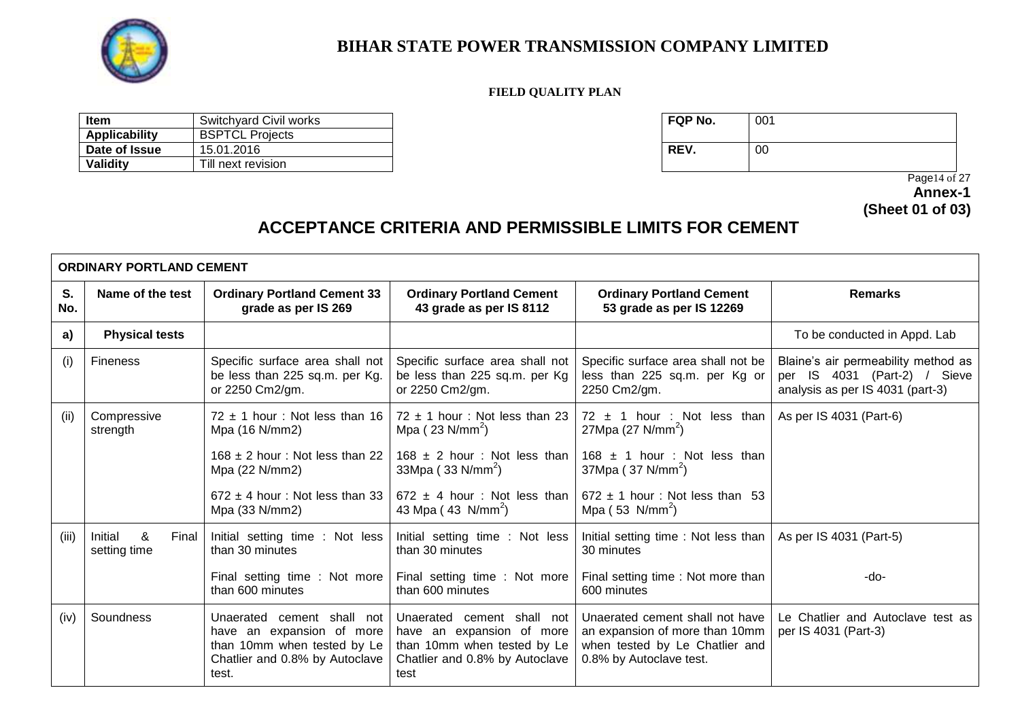

#### **FIELD QUALITY PLAN**

| <b>Item</b>          | Switchyard Civil works | <b>FQP No.</b> | 001 |
|----------------------|------------------------|----------------|-----|
| <b>Applicability</b> | <b>BSPTCL Projects</b> |                |     |
| Date of Issue        | 15.01.2016             | <b>REV.</b>    | 00  |
| Validity             | Till next revision     |                |     |

 Page14 of 27 **Annex-1 (Sheet 01 of 03)**

# **ACCEPTANCE CRITERIA AND PERMISSIBLE LIMITS FOR CEMENT**

|           | <b>ORDINARY PORTLAND CEMENT</b>       |                                                                                                                                   |                                                                                                                                  |                                                                                                                                |                                                                                                         |  |
|-----------|---------------------------------------|-----------------------------------------------------------------------------------------------------------------------------------|----------------------------------------------------------------------------------------------------------------------------------|--------------------------------------------------------------------------------------------------------------------------------|---------------------------------------------------------------------------------------------------------|--|
| S.<br>No. | Name of the test                      | <b>Ordinary Portland Cement 33</b><br>grade as per IS 269                                                                         | <b>Ordinary Portland Cement</b><br>43 grade as per IS 8112                                                                       | <b>Ordinary Portland Cement</b><br>53 grade as per IS 12269                                                                    | <b>Remarks</b>                                                                                          |  |
| a)        | <b>Physical tests</b>                 |                                                                                                                                   |                                                                                                                                  |                                                                                                                                | To be conducted in Appd. Lab                                                                            |  |
| (i)       | <b>Fineness</b>                       | Specific surface area shall not<br>be less than 225 sq.m. per Kg.<br>or 2250 Cm2/gm.                                              | Specific surface area shall not<br>be less than 225 sq.m. per Kg<br>or 2250 Cm2/gm.                                              | Specific surface area shall not be<br>less than 225 sq.m. per Kg or<br>2250 Cm2/gm.                                            | Blaine's air permeability method as<br>per IS 4031 (Part-2) / Sieve<br>analysis as per IS 4031 (part-3) |  |
| (ii)      | Compressive<br>strength               | $72 \pm 1$ hour: Not less than 16<br>Mpa (16 N/mm2)                                                                               | $72 \pm 1$ hour: Not less than 23<br>Mpa ( $23$ N/mm <sup>2</sup> )                                                              | 72 $\pm$ 1 hour : Not less than<br>27Mpa $(27 \text{ N/mm}^2)$                                                                 | As per IS 4031 (Part-6)                                                                                 |  |
|           |                                       | $168 \pm 2$ hour: Not less than 22<br>Mpa (22 N/mm2)                                                                              | 168 $\pm$ 2 hour : Not less than<br>33Mpa ( $33$ N/mm <sup>2</sup> )                                                             | 168 $\pm$ 1 hour : Not less than<br>$37Mpa$ ( $37 N/mm^2$ )                                                                    |                                                                                                         |  |
|           |                                       | $672 \pm 4$ hour: Not less than 33<br>Mpa (33 N/mm2)                                                                              | 672 $\pm$ 4 hour : Not less than<br>43 Mpa (43 N/mm <sup>2</sup> )                                                               | $672 \pm 1$ hour: Not less than 53<br>Mpa $(53 \text{ N/mm}^2)$                                                                |                                                                                                         |  |
| (iii)     | Initial<br>&<br>Final<br>setting time | Initial setting time : Not less<br>than 30 minutes                                                                                | Initial setting time : Not less<br>than 30 minutes                                                                               | Initial setting time: Not less than   As per IS 4031 (Part-5)<br>30 minutes                                                    |                                                                                                         |  |
|           |                                       | Final setting time : Not more<br>than 600 minutes                                                                                 | Final setting time : Not more<br>than 600 minutes                                                                                | Final setting time : Not more than<br>600 minutes                                                                              | -do-                                                                                                    |  |
| (iv)      | Soundness                             | Unaerated cement shall not<br>have an expansion of more<br>than 10mm when tested by Le<br>Chatlier and 0.8% by Autoclave<br>test. | Unaerated cement shall not<br>have an expansion of more<br>than 10mm when tested by Le<br>Chatlier and 0.8% by Autoclave<br>test | Unaerated cement shall not have<br>an expansion of more than 10mm<br>when tested by Le Chatlier and<br>0.8% by Autoclave test. | Le Chatlier and Autoclave test as<br>per IS 4031 (Part-3)                                               |  |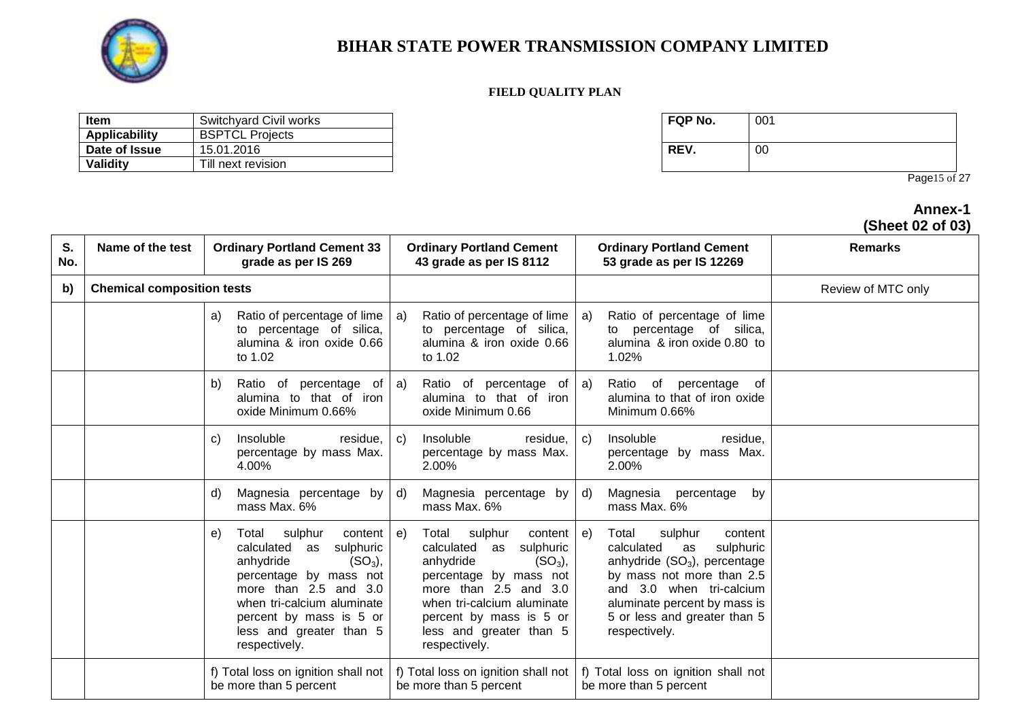

#### **FIELD QUALITY PLAN**

| Item                 | Switchyard Civil works | <b>FQP No.</b> | 001 |
|----------------------|------------------------|----------------|-----|
| <b>Applicability</b> | <b>BSPTCL Projects</b> |                |     |
| Date of Issue        | 15.01.2016             | REV.           | 00  |
| Validity             | Till next revision     |                |     |

| FQP No. | 001 |
|---------|-----|
| REV.    | 00  |

Page15 of 27

### **Annex-1 (Sheet 02 of 03)**

| S.<br>No. | Name of the test                  | <b>Ordinary Portland Cement 33</b><br>grade as per IS 269                                                                                                                                                                                             | <b>Ordinary Portland Cement</b><br>43 grade as per IS 8112                                                                                                                                                                                             | <b>Ordinary Portland Cement</b><br>53 grade as per IS 12269                                                                                                                                                                                    | <b>Remarks</b>     |
|-----------|-----------------------------------|-------------------------------------------------------------------------------------------------------------------------------------------------------------------------------------------------------------------------------------------------------|--------------------------------------------------------------------------------------------------------------------------------------------------------------------------------------------------------------------------------------------------------|------------------------------------------------------------------------------------------------------------------------------------------------------------------------------------------------------------------------------------------------|--------------------|
| b)        | <b>Chemical composition tests</b> |                                                                                                                                                                                                                                                       |                                                                                                                                                                                                                                                        |                                                                                                                                                                                                                                                | Review of MTC only |
|           |                                   | Ratio of percentage of lime<br>a)<br>to percentage of silica,<br>alumina & iron oxide 0.66<br>to 1.02                                                                                                                                                 | Ratio of percentage of lime<br>a)<br>to percentage of silica,<br>alumina & iron oxide 0.66<br>to 1.02                                                                                                                                                  | Ratio of percentage of lime<br>a)<br>to percentage of silica,<br>alumina & iron oxide 0.80 to<br>1.02%                                                                                                                                         |                    |
|           |                                   | Ratio of percentage of<br>b)<br>alumina to that of iron<br>oxide Minimum 0.66%                                                                                                                                                                        | Ratio of percentage of<br>a)<br>alumina to that of iron<br>oxide Minimum 0.66                                                                                                                                                                          | Ratio of percentage<br>a)<br>of<br>alumina to that of iron oxide<br>Minimum 0.66%                                                                                                                                                              |                    |
|           |                                   | Insoluble<br>residue,<br>C)<br>percentage by mass Max.<br>4.00%                                                                                                                                                                                       | Insoluble<br>residue,<br>C)<br>percentage by mass Max.<br>2.00%                                                                                                                                                                                        | Insoluble<br>residue,<br>C)<br>percentage by mass Max.<br>2.00%                                                                                                                                                                                |                    |
|           |                                   | Magnesia percentage by<br>d)<br>mass Max. 6%                                                                                                                                                                                                          | Magnesia percentage by<br>d)<br>mass Max. 6%                                                                                                                                                                                                           | Magnesia percentage by<br>d)<br>mass Max. 6%                                                                                                                                                                                                   |                    |
|           |                                   | sulphur<br>content<br>e)<br>Total<br>calculated as<br>sulphuric<br>anhydride<br>$(SO3)$ ,<br>percentage by mass not<br>more than $2.5$ and $3.0$<br>when tri-calcium aluminate<br>percent by mass is 5 or<br>less and greater than 5<br>respectively. | sulphur<br>content<br>e)<br>Total<br>calculated as<br>sulphuric<br>anhydride<br>$(SO_3)$ ,<br>percentage by mass not<br>more than $2.5$ and $3.0$<br>when tri-calcium aluminate<br>percent by mass is 5 or<br>less and greater than 5<br>respectively. | Total<br>sulphur<br>content<br>e)<br>calculated<br>sulphuric<br>as<br>anhydride $(SO3)$ , percentage<br>by mass not more than 2.5<br>and 3.0 when tri-calcium<br>aluminate percent by mass is<br>5 or less and greater than 5<br>respectively. |                    |
|           |                                   | f) Total loss on ignition shall not<br>be more than 5 percent                                                                                                                                                                                         | f) Total loss on ignition shall not<br>be more than 5 percent                                                                                                                                                                                          | f) Total loss on ignition shall not<br>be more than 5 percent                                                                                                                                                                                  |                    |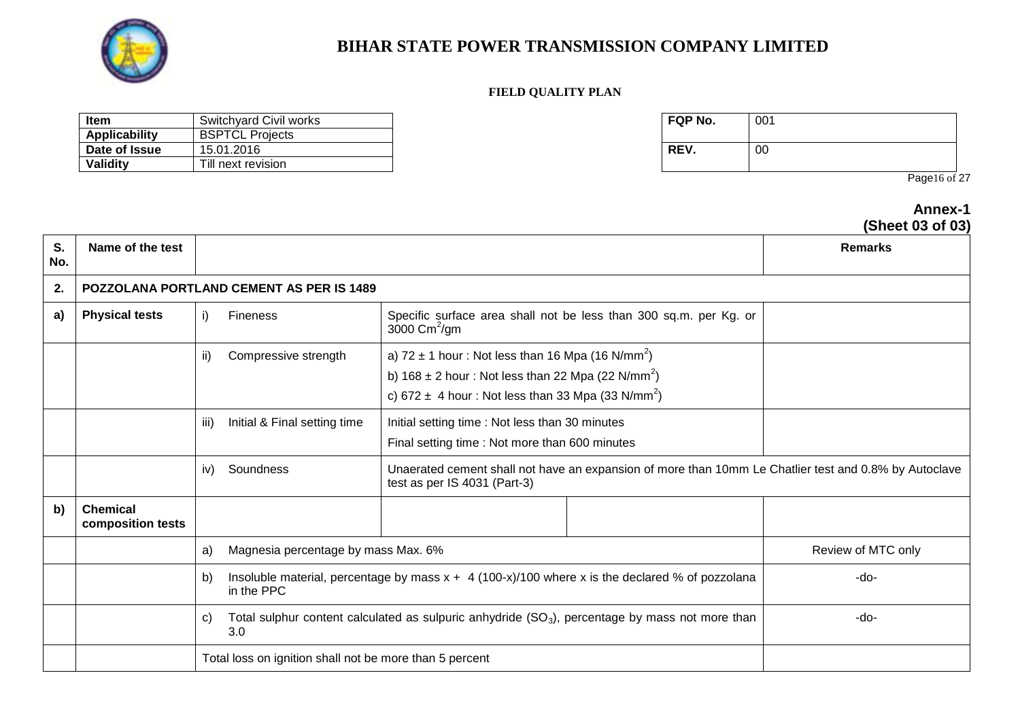

#### **FIELD QUALITY PLAN**

| Item                 | Switchyard Civil works | <b>FQP No.</b> | 001 |
|----------------------|------------------------|----------------|-----|
| <b>Applicability</b> | <b>BSPTCL Projects</b> |                |     |
| Date of Issue        | 15.01.2016             | REV.           | 00  |
| Validity             | Till next revision     |                |     |

| FQP No. | 001 |
|---------|-----|
| REV.    | 00  |

Page16 of 27

#### **Annex-1 (Sheet 03 of 03)**

| S.<br>No. | Name of the test                     |                                                         |                                                                                                                                                                                                            | <u>onoot aa ol aa</u><br><b>Remarks</b> |
|-----------|--------------------------------------|---------------------------------------------------------|------------------------------------------------------------------------------------------------------------------------------------------------------------------------------------------------------------|-----------------------------------------|
| 2.        |                                      | POZZOLANA PORTLAND CEMENT AS PER IS 1489                |                                                                                                                                                                                                            |                                         |
| a)        | <b>Physical tests</b>                | i)<br><b>Fineness</b>                                   | Specific surface area shall not be less than 300 sq.m. per Kg. or<br>3000 $\text{Cm}^2/\text{gm}$                                                                                                          |                                         |
|           |                                      | ii)<br>Compressive strength                             | a) $72 \pm 1$ hour: Not less than 16 Mpa (16 N/mm <sup>2</sup> )<br>b) $168 \pm 2$ hour: Not less than 22 Mpa (22 N/mm <sup>2</sup> )<br>c) 672 $\pm$ 4 hour: Not less than 33 Mpa (33 N/mm <sup>2</sup> ) |                                         |
|           |                                      | Initial & Final setting time<br>iii)                    | Initial setting time: Not less than 30 minutes<br>Final setting time: Not more than 600 minutes                                                                                                            |                                         |
|           |                                      | iv)<br>Soundness                                        | Unaerated cement shall not have an expansion of more than 10mm Le Chatlier test and 0.8% by Autoclave<br>test as per IS 4031 (Part-3)                                                                      |                                         |
| b)        | <b>Chemical</b><br>composition tests |                                                         |                                                                                                                                                                                                            |                                         |
|           |                                      | Magnesia percentage by mass Max. 6%<br>a)               |                                                                                                                                                                                                            | Review of MTC only                      |
|           |                                      | b)<br>in the PPC                                        | Insoluble material, percentage by mass $x + 4$ (100-x)/100 where x is the declared % of pozzolana                                                                                                          | -do-                                    |
|           |                                      | C)<br>3.0                                               | Total sulphur content calculated as sulpuric anhydride $(SO_3)$ , percentage by mass not more than                                                                                                         | -do-                                    |
|           |                                      | Total loss on ignition shall not be more than 5 percent |                                                                                                                                                                                                            |                                         |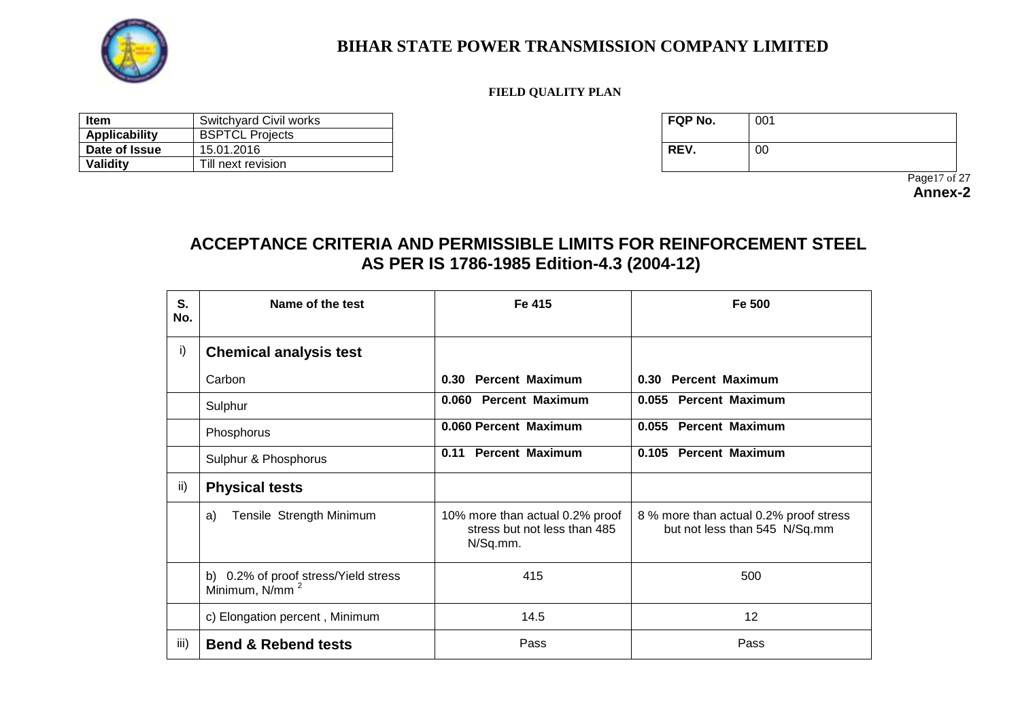

#### **FIELD QUALITY PLAN**

| ltem                 | Switchyard Civil works | FQP No. | 001 |
|----------------------|------------------------|---------|-----|
| <b>Applicability</b> | <b>BSPTCL Projects</b> |         |     |
| Date of Issue        | 15.01.2016             | REV.    | -00 |
| Validity             | Till next revision     |         |     |

| FQP No. | 001 |
|---------|-----|
| REV.    | 00  |

 Page17 of 27 **Annex-2**

# **ACCEPTANCE CRITERIA AND PERMISSIBLE LIMITS FOR REINFORCEMENT STEEL AS PER IS 1786-1985 Edition-4.3 (2004-12)**

| S.<br>No. | Name of the test                                                   | Fe 415                                                                      | Fe 500                                                                  |
|-----------|--------------------------------------------------------------------|-----------------------------------------------------------------------------|-------------------------------------------------------------------------|
| i)        | <b>Chemical analysis test</b>                                      |                                                                             |                                                                         |
|           | Carbon                                                             | 0.30 Percent Maximum                                                        | 0.30 Percent Maximum                                                    |
|           | Sulphur                                                            | 0.060 Percent Maximum                                                       | 0.055 Percent Maximum                                                   |
|           | Phosphorus                                                         | 0.060 Percent Maximum                                                       | 0.055 Percent Maximum                                                   |
|           | Sulphur & Phosphorus                                               | <b>Percent Maximum</b><br>0.11                                              | 0.105 Percent Maximum                                                   |
| ii)       | <b>Physical tests</b>                                              |                                                                             |                                                                         |
|           | Tensile Strength Minimum<br>a)                                     | 10% more than actual 0.2% proof<br>stress but not less than 485<br>N/Sq.mm. | 8 % more than actual 0.2% proof stress<br>but not less than 545 N/Sq.mm |
|           | b) 0.2% of proof stress/Yield stress<br>Minimum, N/mm <sup>2</sup> | 415                                                                         | 500                                                                     |
|           | c) Elongation percent, Minimum                                     | 14.5                                                                        | 12                                                                      |
| iii)      | <b>Bend &amp; Rebend tests</b>                                     | Pass                                                                        | Pass                                                                    |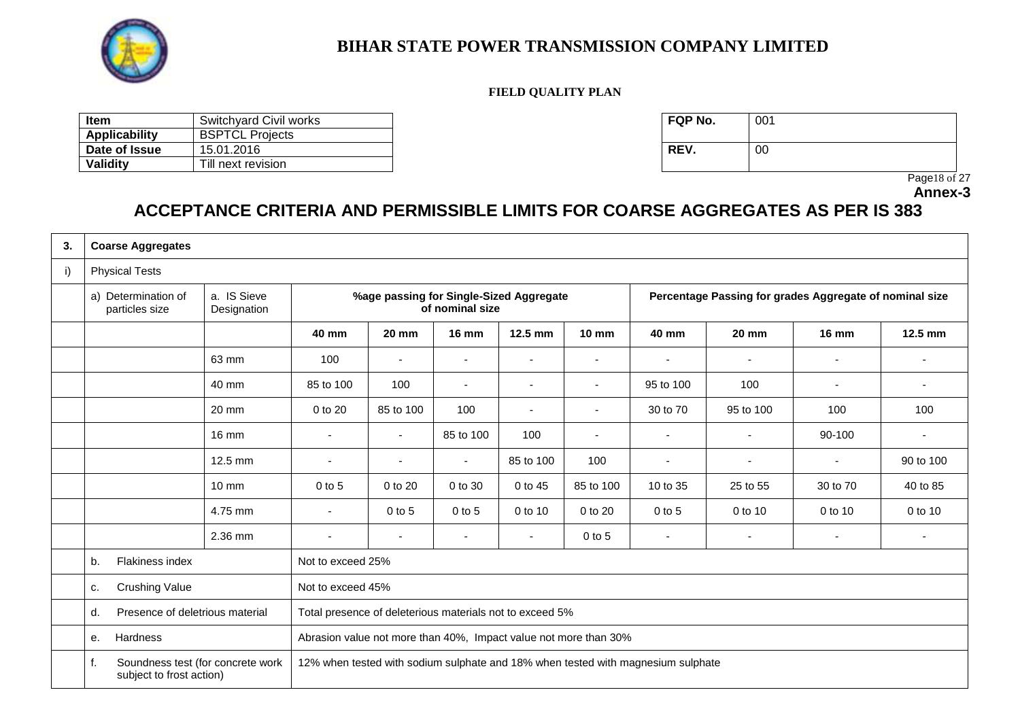

#### **FIELD QUALITY PLAN**

| ltem          | Switchyard Civil works | <b>FQP No.</b> | 001 |
|---------------|------------------------|----------------|-----|
| Applicability | <b>BSPTCL Projects</b> |                |     |
| Date of Issue | 15.01.2016             | REV.           | -00 |
| Validity      | Till next revision     |                |     |

| FQP No. | 001 |
|---------|-----|
| REV.    | 00  |

 Page18 of 27 **Annex-3**

# **ACCEPTANCE CRITERIA AND PERMISSIBLE LIMITS FOR COARSE AGGREGATES AS PER IS 383**

| 3. | <b>Coarse Aggregates</b>                                            |                            |                                                                  |                          |                                                            |                          |                          |                                                                                  |                                                         |              |                          |
|----|---------------------------------------------------------------------|----------------------------|------------------------------------------------------------------|--------------------------|------------------------------------------------------------|--------------------------|--------------------------|----------------------------------------------------------------------------------|---------------------------------------------------------|--------------|--------------------------|
| i) | <b>Physical Tests</b>                                               |                            |                                                                  |                          |                                                            |                          |                          |                                                                                  |                                                         |              |                          |
|    | a) Determination of<br>particles size                               | a. IS Sieve<br>Designation |                                                                  |                          | %age passing for Single-Sized Aggregate<br>of nominal size |                          |                          |                                                                                  | Percentage Passing for grades Aggregate of nominal size |              |                          |
|    |                                                                     |                            | 40 mm                                                            | <b>20 mm</b>             | <b>16 mm</b>                                               | 12.5 mm                  | $10 \text{ mm}$          | 40 mm                                                                            | <b>20 mm</b>                                            | <b>16 mm</b> | 12.5 mm                  |
|    |                                                                     | 63 mm                      | 100                                                              | $\blacksquare$           | $\blacksquare$                                             | $\blacksquare$           | $\overline{\phantom{a}}$ | $\overline{a}$                                                                   | $\blacksquare$                                          |              |                          |
|    |                                                                     | 40 mm                      | 85 to 100                                                        | 100                      | $\overline{\phantom{0}}$                                   | $\overline{\phantom{a}}$ | $\overline{\phantom{a}}$ | 95 to 100                                                                        | 100                                                     |              | ٠                        |
|    |                                                                     | 20 mm                      | 0 to 20                                                          | 85 to 100                | 100                                                        | $\overline{\phantom{a}}$ | $\overline{\phantom{a}}$ | 30 to 70                                                                         | 95 to 100                                               | 100          | 100                      |
|    |                                                                     | $16 \text{ mm}$            | $\overline{\phantom{a}}$                                         | $\blacksquare$           | 85 to 100                                                  | 100                      | $\overline{\phantom{a}}$ | $\overline{\phantom{a}}$                                                         |                                                         | 90-100       | $\overline{\phantom{a}}$ |
|    |                                                                     | $12.5$ mm                  | $\overline{\phantom{a}}$                                         | $\overline{\phantom{a}}$ | $\blacksquare$                                             | 85 to 100                | 100                      | $\blacksquare$                                                                   |                                                         |              | 90 to 100                |
|    |                                                                     | $10 \text{ mm}$            | $0$ to 5                                                         | 0 to 20                  | 0 to 30                                                    | 0 to 45                  | 85 to 100                | 10 to 35                                                                         | 25 to 55                                                | 30 to 70     | 40 to 85                 |
|    |                                                                     | 4.75 mm                    | $\overline{\phantom{a}}$                                         | $0$ to $5$               | $0$ to $5$                                                 | 0 to 10                  | 0 to 20                  | $0$ to $5$                                                                       | 0 to 10                                                 | 0 to 10      | 0 to 10                  |
|    |                                                                     | 2.36 mm                    | $\overline{\phantom{a}}$                                         | $\overline{\phantom{a}}$ | $\blacksquare$                                             | $\blacksquare$           | $0$ to $5$               | $\sim$                                                                           | $\blacksquare$                                          | $\sim$       | ٠                        |
|    | Flakiness index<br>b.                                               |                            | Not to exceed 25%                                                |                          |                                                            |                          |                          |                                                                                  |                                                         |              |                          |
|    | <b>Crushing Value</b><br>c.                                         |                            | Not to exceed 45%                                                |                          |                                                            |                          |                          |                                                                                  |                                                         |              |                          |
|    | Presence of deletrious material<br>d.                               |                            | Total presence of deleterious materials not to exceed 5%         |                          |                                                            |                          |                          |                                                                                  |                                                         |              |                          |
|    | Hardness<br>е.                                                      |                            | Abrasion value not more than 40%, Impact value not more than 30% |                          |                                                            |                          |                          |                                                                                  |                                                         |              |                          |
|    | Soundness test (for concrete work<br>f.<br>subject to frost action) |                            |                                                                  |                          |                                                            |                          |                          | 12% when tested with sodium sulphate and 18% when tested with magnesium sulphate |                                                         |              |                          |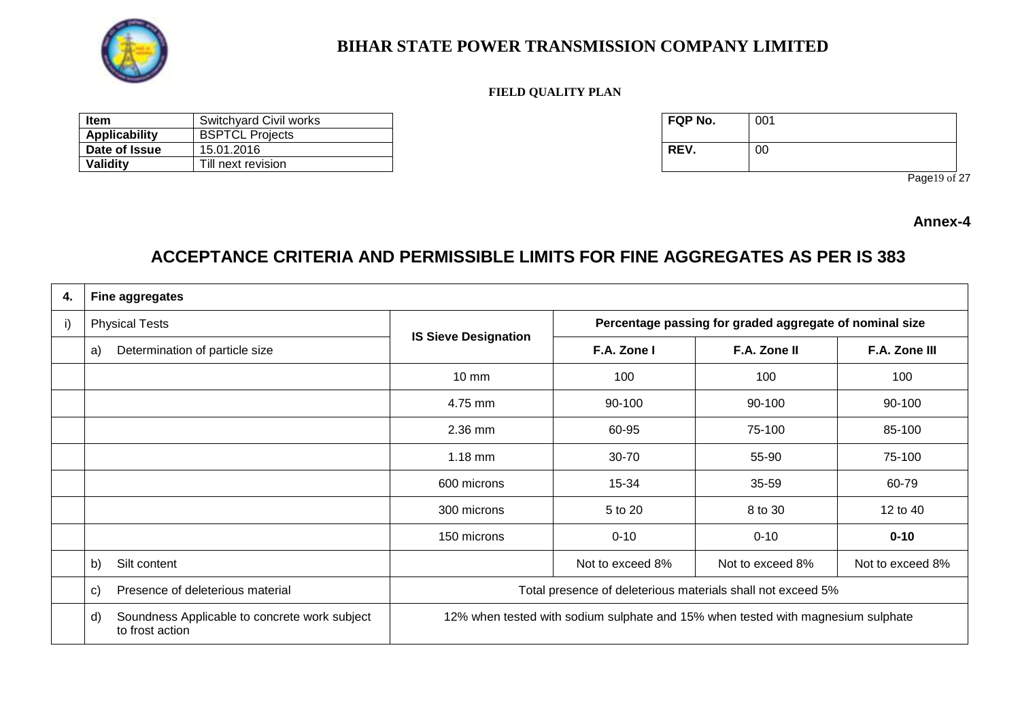

#### **FIELD QUALITY PLAN**

| <b>Item</b>   | Switchyard Civil works | FQP No. | 001 |
|---------------|------------------------|---------|-----|
| Applicability | <b>BSPTCL Projects</b> |         |     |
| Date of Issue | 15.01.2016             | REV.    | -00 |
| Validity      | Till next revision     |         |     |

| FQP No. | 001 |
|---------|-----|
| REV.    | 00  |

Page19 of 27

**Annex-4**

# **ACCEPTANCE CRITERIA AND PERMISSIBLE LIMITS FOR FINE AGGREGATES AS PER IS 383**

| 4. | <b>Fine aggregates</b>                                                 |                                                                                  |                                                         |                  |                  |  |
|----|------------------------------------------------------------------------|----------------------------------------------------------------------------------|---------------------------------------------------------|------------------|------------------|--|
| i) | <b>Physical Tests</b>                                                  |                                                                                  | Percentage passing for graded aggregate of nominal size |                  |                  |  |
|    | Determination of particle size<br>a)                                   | <b>IS Sieve Designation</b>                                                      | F.A. Zone I                                             | F.A. Zone II     | F.A. Zone III    |  |
|    |                                                                        | $10 \text{ mm}$                                                                  | 100                                                     | 100              | 100              |  |
|    |                                                                        | 4.75 mm                                                                          | 90-100                                                  | 90-100           | 90-100           |  |
|    |                                                                        | 2.36 mm                                                                          | 60-95                                                   | 75-100           | 85-100           |  |
|    |                                                                        | $1.18$ mm                                                                        | 30-70                                                   | 55-90            | 75-100           |  |
|    |                                                                        | 600 microns                                                                      | 15-34                                                   | 35-59            | 60-79            |  |
|    |                                                                        | 300 microns                                                                      | 5 to 20                                                 | 8 to 30          | 12 to 40         |  |
|    |                                                                        | 150 microns                                                                      | $0 - 10$                                                | $0 - 10$         | $0 - 10$         |  |
|    | Silt content<br>b)                                                     |                                                                                  | Not to exceed 8%                                        | Not to exceed 8% | Not to exceed 8% |  |
|    | Presence of deleterious material<br>$\mathbf{C}$                       | Total presence of deleterious materials shall not exceed 5%                      |                                                         |                  |                  |  |
|    | Soundness Applicable to concrete work subject<br>d)<br>to frost action | 12% when tested with sodium sulphate and 15% when tested with magnesium sulphate |                                                         |                  |                  |  |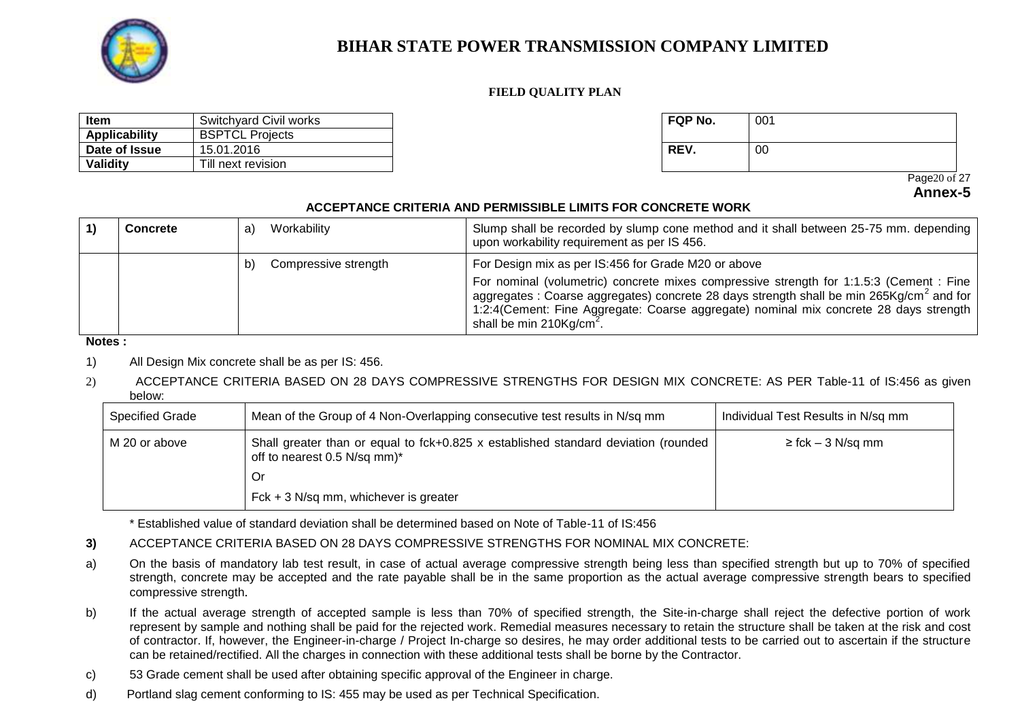

#### **FIELD QUALITY PLAN**

| Item                 | Switchyard Civil works | <b>FQP No.</b> | 001 |
|----------------------|------------------------|----------------|-----|
| <b>Applicability</b> | <b>BSPTCL Projects</b> |                |     |
| Date of Issue        | 15.01.2016             | REV.           | 00  |
| Validity             | Till next revision     |                |     |

| FQP No. | 001 |
|---------|-----|
| REV.    | 00  |

 Page20 of 27 **Annex-5**

#### **ACCEPTANCE CRITERIA AND PERMISSIBLE LIMITS FOR CONCRETE WORK**

| <b>Concrete</b> | a  | Workability          | Slump shall be recorded by slump cone method and it shall between 25-75 mm. depending<br>upon workability requirement as per IS 456.                                                                                                                                                                                                                                                  |
|-----------------|----|----------------------|---------------------------------------------------------------------------------------------------------------------------------------------------------------------------------------------------------------------------------------------------------------------------------------------------------------------------------------------------------------------------------------|
|                 | b) | Compressive strength | For Design mix as per IS:456 for Grade M20 or above<br>For nominal (volumetric) concrete mixes compressive strength for 1:1.5:3 (Cement : Fine<br>aggregates : Coarse aggregates) concrete 28 days strength shall be min 265Kg/cm <sup>2</sup> and for<br>1:2:4(Cement: Fine Aggregate: Coarse aggregate) nominal mix concrete 28 days strength<br>shall be min $210\text{Kg/cm}^2$ . |

#### **Notes :**

- 1) All Design Mix concrete shall be as per IS: 456.
- 2) ACCEPTANCE CRITERIA BASED ON 28 DAYS COMPRESSIVE STRENGTHS FOR DESIGN MIX CONCRETE: AS PER Table-11 of IS:456 as given below:

| Specified Grade | Mean of the Group of 4 Non-Overlapping consecutive test results in N/sq mm                                         | Individual Test Results in N/sq mm |
|-----------------|--------------------------------------------------------------------------------------------------------------------|------------------------------------|
| M 20 or above   | Shall greater than or equal to fck+0.825 x established standard deviation (rounded<br>off to nearest 0.5 N/sq mm)* | $\ge$ fck – 3 N/sq mm              |
|                 | 0r                                                                                                                 |                                    |
|                 | $Fck + 3 N/sq mm$ , whichever is greater                                                                           |                                    |

\* Established value of standard deviation shall be determined based on Note of Table-11 of IS:456

- **3)** ACCEPTANCE CRITERIA BASED ON 28 DAYS COMPRESSIVE STRENGTHS FOR NOMINAL MIX CONCRETE:
- a) On the basis of mandatory lab test result, in case of actual average compressive strength being less than specified strength but up to 70% of specified strength, concrete may be accepted and the rate payable shall be in the same proportion as the actual average compressive strength bears to specified compressive strength.
- b) If the actual average strength of accepted sample is less than 70% of specified strength, the Site-in-charge shall reject the defective portion of work represent by sample and nothing shall be paid for the rejected work. Remedial measures necessary to retain the structure shall be taken at the risk and cost of contractor. If, however, the Engineer-in-charge / Project In-charge so desires, he may order additional tests to be carried out to ascertain if the structure can be retained/rectified. All the charges in connection with these additional tests shall be borne by the Contractor.
- c) 53 Grade cement shall be used after obtaining specific approval of the Engineer in charge.
- d) Portland slag cement conforming to IS: 455 may be used as per Technical Specification.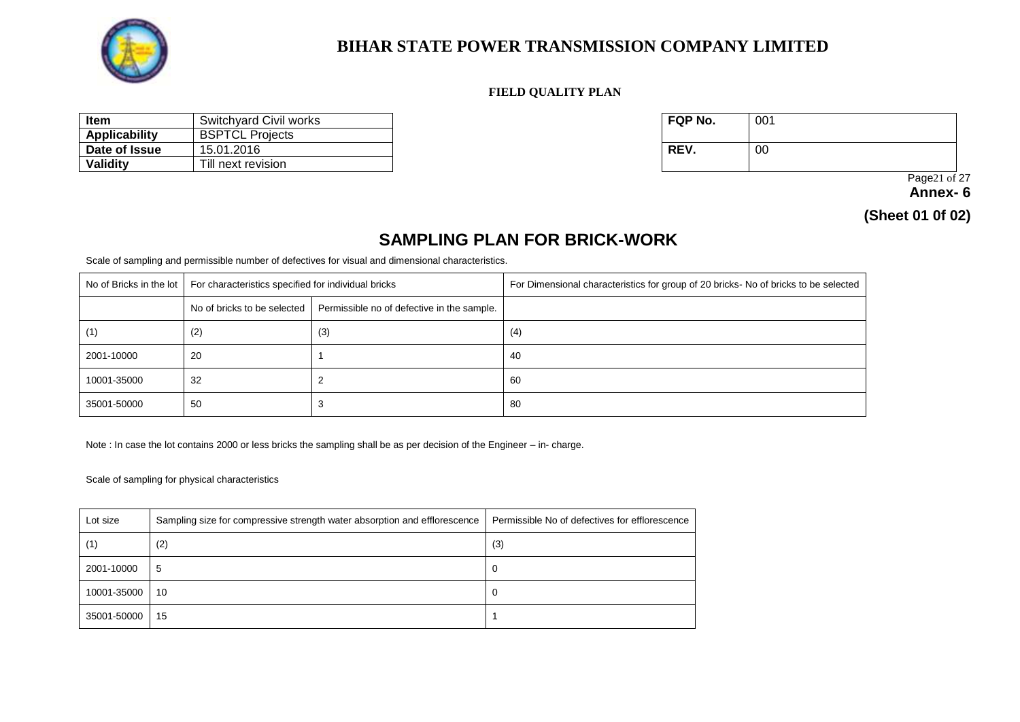

#### **FIELD QUALITY PLAN**

| ltem          | Switchyard Civil works | <b>FQP No.</b> | 001 |
|---------------|------------------------|----------------|-----|
| Applicability | <b>BSPTCL Projects</b> |                |     |
| Date of Issue | 15.01.2016             | REV.           | 00  |
| Validity      | Till next revision     |                |     |

| FQP No. | 001 |
|---------|-----|
| REV.    | 00  |

 Page21 of 27 **Annex- 6** 

**(Sheet 01 0f 02)**

### **SAMPLING PLAN FOR BRICK-WORK**

Scale of sampling and permissible number of defectives for visual and dimensional characteristics.

| No of Bricks in the lot | For characteristics specified for individual bricks |                                            | For Dimensional characteristics for group of 20 bricks- No of bricks to be selected |
|-------------------------|-----------------------------------------------------|--------------------------------------------|-------------------------------------------------------------------------------------|
|                         | No of bricks to be selected                         | Permissible no of defective in the sample. |                                                                                     |
| (1)                     | (2)                                                 | (3)                                        | (4)                                                                                 |
| 2001-10000              | -20                                                 |                                            | 40                                                                                  |
| 10001-35000             | 32                                                  |                                            | 60                                                                                  |
| 35001-50000             | 50                                                  |                                            | 80                                                                                  |

Note : In case the lot contains 2000 or less bricks the sampling shall be as per decision of the Engineer – in- charge.

Scale of sampling for physical characteristics

| Lot size    | Sampling size for compressive strength water absorption and efflorescence | Permissible No of defectives for efflorescence |
|-------------|---------------------------------------------------------------------------|------------------------------------------------|
| (1)         | (2)                                                                       | (3)                                            |
| 2001-10000  | 5                                                                         | 0                                              |
| 10001-35000 | 10                                                                        | U                                              |
| 35001-50000 | 15                                                                        |                                                |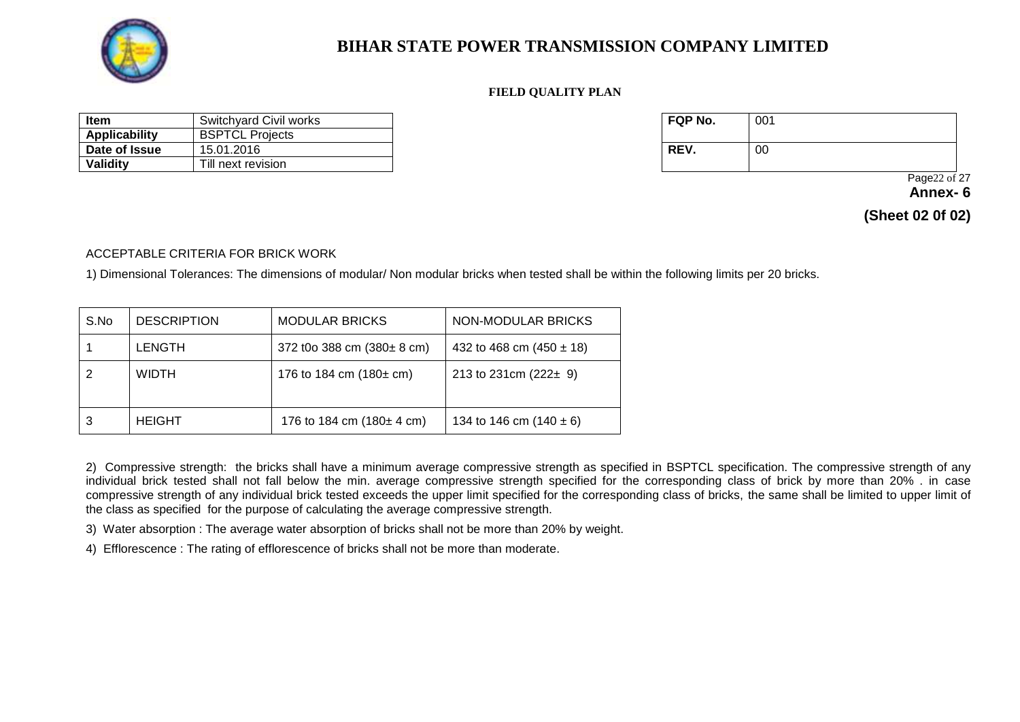

#### **FIELD QUALITY PLAN**

| ltem          | Switchyard Civil works | FQP No. | 001 |
|---------------|------------------------|---------|-----|
| Applicability | <b>BSPTCL Projects</b> |         |     |
| Date of Issue | 15.01.2016             | REV.    | 00  |
| Validity      | Till next revision     |         |     |

| FQP No. | 001 |
|---------|-----|
| REV.    | 00  |

Page22 of 27

**Annex- 6** 

**(Sheet 02 0f 02)**

ACCEPTABLE CRITERIA FOR BRICK WORK

1) Dimensional Tolerances: The dimensions of modular/ Non modular bricks when tested shall be within the following limits per 20 bricks.

| S.No | <b>DESCRIPTION</b> | <b>MODULAR BRICKS</b>                   | NON-MODULAR BRICKS           |
|------|--------------------|-----------------------------------------|------------------------------|
|      | <b>LENGTH</b>      | 372 t0o 388 cm $(380 \pm 8 \text{ cm})$ | 432 to 468 cm $(450 \pm 18)$ |
|      | <b>WIDTH</b>       | 176 to 184 cm $(180 \pm \text{cm})$     | 213 to 231cm $(222 \pm 9)$   |
| 3    | <b>HEIGHT</b>      | 176 to 184 cm $(180 \pm 4 \text{ cm})$  | 134 to 146 cm $(140 \pm 6)$  |

2) Compressive strength: the bricks shall have a minimum average compressive strength as specified in BSPTCL specification. The compressive strength of any individual brick tested shall not fall below the min. average compressive strength specified for the corresponding class of brick by more than 20% . in case compressive strength of any individual brick tested exceeds the upper limit specified for the corresponding class of bricks, the same shall be limited to upper limit of the class as specified for the purpose of calculating the average compressive strength.

3) Water absorption : The average water absorption of bricks shall not be more than 20% by weight.

4) Efflorescence : The rating of efflorescence of bricks shall not be more than moderate.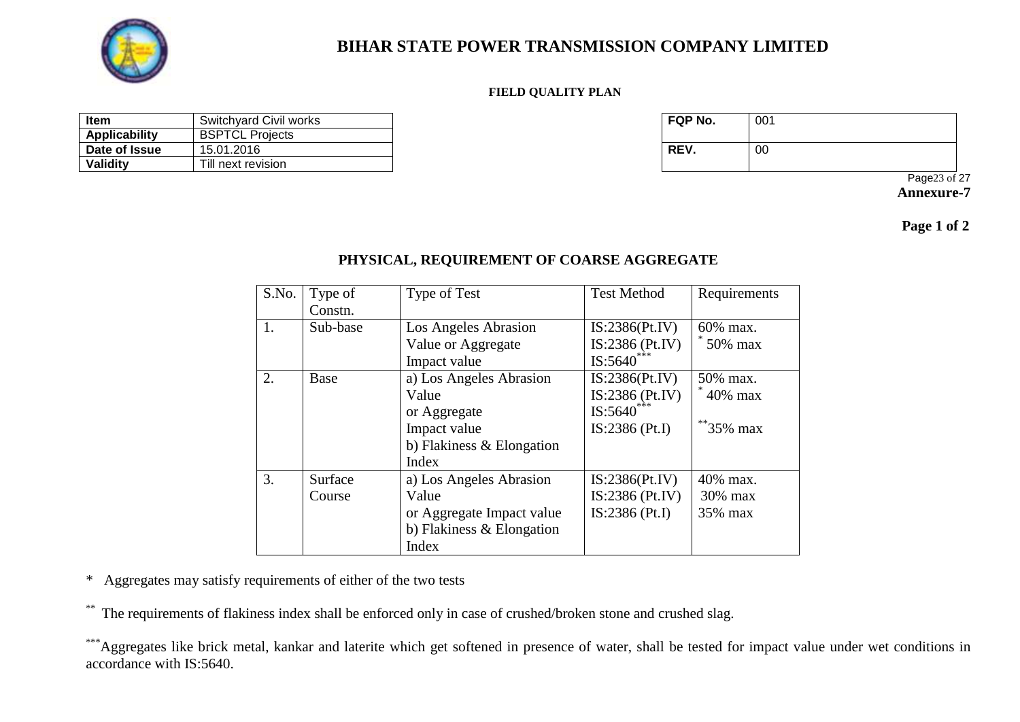

#### **FIELD QUALITY PLAN**

| <b>Item</b>   | Switchyard Civil works | <b>FQP No.</b> | 001 |
|---------------|------------------------|----------------|-----|
| Applicability | <b>BSPTCL Projects</b> |                |     |
| Date of Issue | 15.01.2016             | REV.           | -00 |
| Validity      | Till next revision     |                |     |

| FQP No. | 001 |
|---------|-----|
| REV.    | 00  |

Page23 of 27 **Annexure-7**

 **Page 1 of 2**

### **PHYSICAL, REQUIREMENT OF COARSE AGGREGATE**

| S.No. | Type of  | Type of Test                | <b>Test Method</b> | Requirements |
|-------|----------|-----------------------------|--------------------|--------------|
|       | Constn.  |                             |                    |              |
| 1.    | Sub-base | Los Angeles Abrasion        | IS:2386(Pt.IV)     | 60% max.     |
|       |          | Value or Aggregate          | $IS:2386$ (Pt.IV)  | 50% max      |
|       |          | Impact value                | $IS:5640^{***}$    |              |
| 2.    | Base     | a) Los Angeles Abrasion     | IS:2386(Pt.IV)     | 50% max.     |
|       |          | Value                       | IS:2386 (Pt.IV)    | 40% max      |
|       |          | or Aggregate                | IS:5640            |              |
|       |          | Impact value                | $IS:2386$ (Pt.I)   | $*$ 35% max  |
|       |          | b) Flakiness & Elongation   |                    |              |
|       |          | Index                       |                    |              |
| 3.    | Surface  | a) Los Angeles Abrasion     | IS:2386(Pt.IV)     | 40% max.     |
|       | Course   | Value                       | $IS:2386$ (Pt.IV)  | $30\%$ max   |
|       |          | or Aggregate Impact value   | $IS:2386$ (Pt.I)   | 35% max      |
|       |          | b) Flakiness $&$ Elongation |                    |              |
|       |          | Index                       |                    |              |

\* Aggregates may satisfy requirements of either of the two tests

\* The requirements of flakiness index shall be enforced only in case of crushed/broken stone and crushed slag.

\*\*\*Aggregates like brick metal, kankar and laterite which get softened in presence of water, shall be tested for impact value under wet conditions in accordance with IS:5640.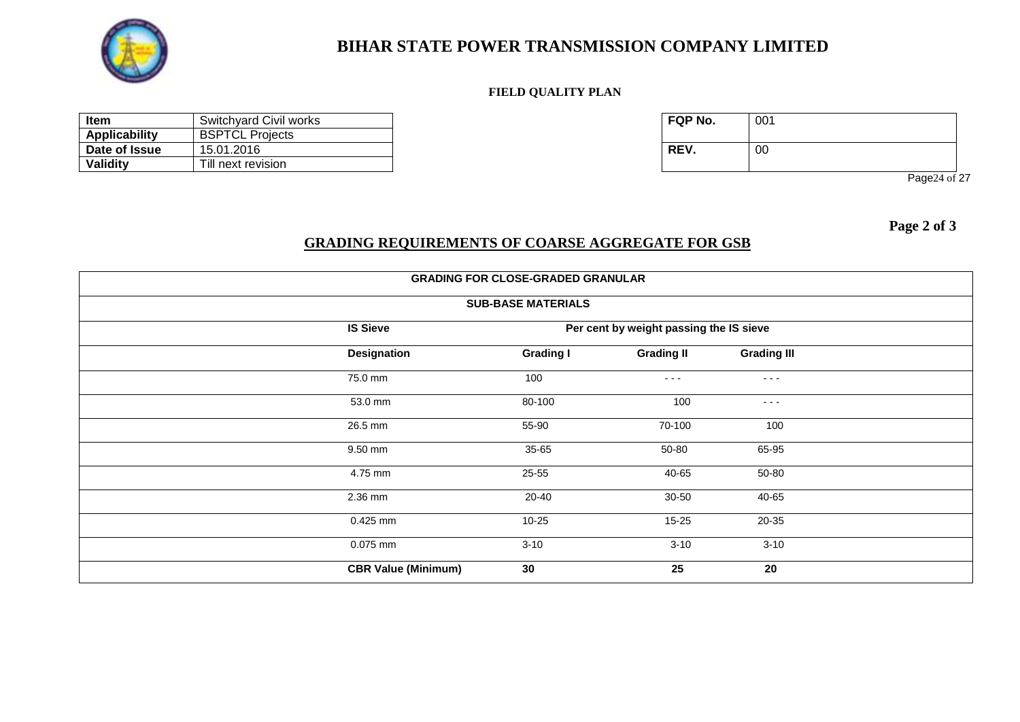

#### **FIELD QUALITY PLAN**

| ltem                 | Switchyard Civil works | <b>FQP No.</b> | 001 |
|----------------------|------------------------|----------------|-----|
| <b>Applicability</b> | <b>BSPTCL Projects</b> |                |     |
| Date of Issue        | 15.01.2016             | REV.           | 00  |
| Validity             | Till next revision     |                |     |

| FQP No. | 001 |
|---------|-----|
| REV.    | 00  |

Page24 of 27

 **Page 2 of 3**

### **GRADING REQUIREMENTS OF COARSE AGGREGATE FOR GSB**

| <b>GRADING FOR CLOSE-GRADED GRANULAR</b> |                            |                           |                                         |                      |  |
|------------------------------------------|----------------------------|---------------------------|-----------------------------------------|----------------------|--|
|                                          |                            | <b>SUB-BASE MATERIALS</b> |                                         |                      |  |
|                                          | <b>IS Sieve</b>            |                           | Per cent by weight passing the IS sieve |                      |  |
|                                          | <b>Designation</b>         | <b>Grading I</b>          | <b>Grading II</b>                       | <b>Grading III</b>   |  |
|                                          | 75.0 mm                    | 100                       | $- - -$                                 | $\sim$ $\sim$ $\sim$ |  |
|                                          | 53.0 mm                    | 80-100                    | 100                                     | $\sim$ $\sim$ $\sim$ |  |
|                                          | 26.5 mm                    | 55-90                     | 70-100                                  | 100                  |  |
|                                          | 9.50 mm                    | 35-65                     | 50-80                                   | 65-95                |  |
|                                          | 4.75 mm                    | 25-55                     | 40-65                                   | 50-80                |  |
|                                          | 2.36 mm                    | 20-40                     | 30-50                                   | 40-65                |  |
|                                          | 0.425 mm                   | 10-25                     | $15 - 25$                               | 20-35                |  |
|                                          | $0.075$ mm                 | $3 - 10$                  | $3 - 10$                                | $3 - 10$             |  |
|                                          | <b>CBR Value (Minimum)</b> | 30                        | 25                                      | 20                   |  |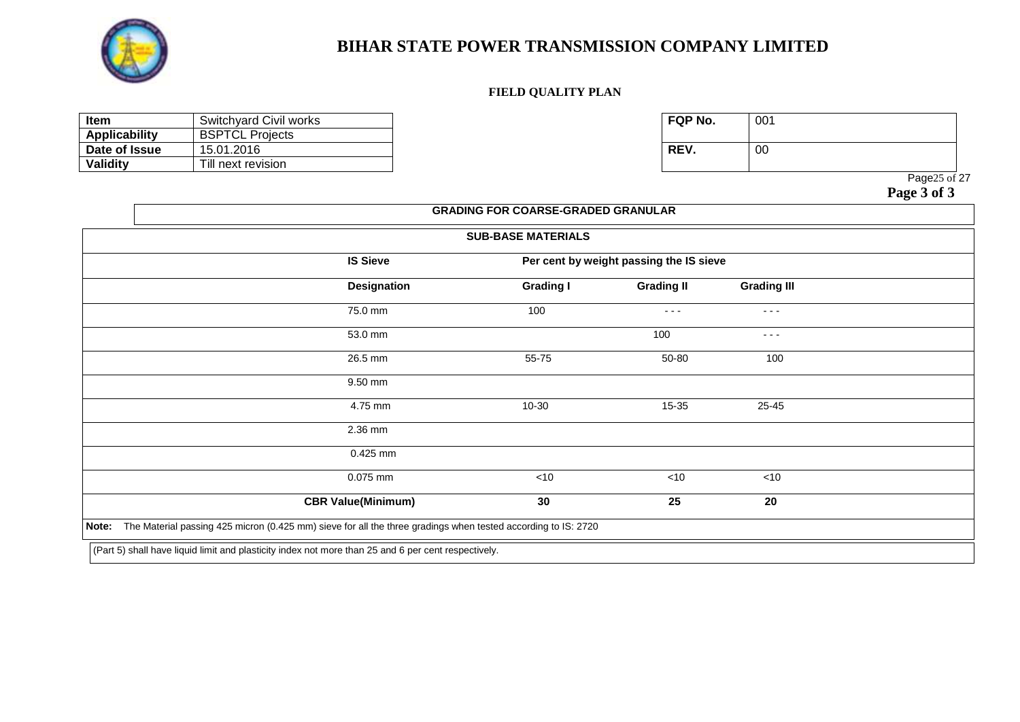

#### **FIELD QUALITY PLAN**

| <b>Item</b>          | Switchyard Civil works | <b>FQP No.</b> | 001 |
|----------------------|------------------------|----------------|-----|
| <b>Applicability</b> | <b>BSPTCL Projects</b> |                |     |
| Date of Issue        | 15.01.2016             | <b>REV.</b>    | 00  |
| Validity             | Till next revision     |                |     |

| FQP No. | 001 |
|---------|-----|
| REV.    | 00  |

Page25 of 27

|                           | <b>SUB-BASE MATERIALS</b> |                                         |                    |  |
|---------------------------|---------------------------|-----------------------------------------|--------------------|--|
| <b>IS Sieve</b>           |                           | Per cent by weight passing the IS sieve |                    |  |
| <b>Designation</b>        | <b>Grading I</b>          | <b>Grading II</b>                       | <b>Grading III</b> |  |
| 75.0 mm                   | 100                       | $- - -$                                 | $- - -$            |  |
| 53.0 mm                   |                           | 100                                     | $- - -$            |  |
| 26.5 mm                   | 55-75                     | 50-80                                   | 100                |  |
| 9.50 mm                   |                           |                                         |                    |  |
| 4.75 mm                   | 10-30                     | 15-35                                   | 25-45              |  |
| 2.36 mm                   |                           |                                         |                    |  |
| 0.425 mm                  |                           |                                         |                    |  |
| 0.075 mm                  | $<$ 10                    | <10                                     | $<$ 10             |  |
| <b>CBR Value(Minimum)</b> | 30                        | 25                                      | 20                 |  |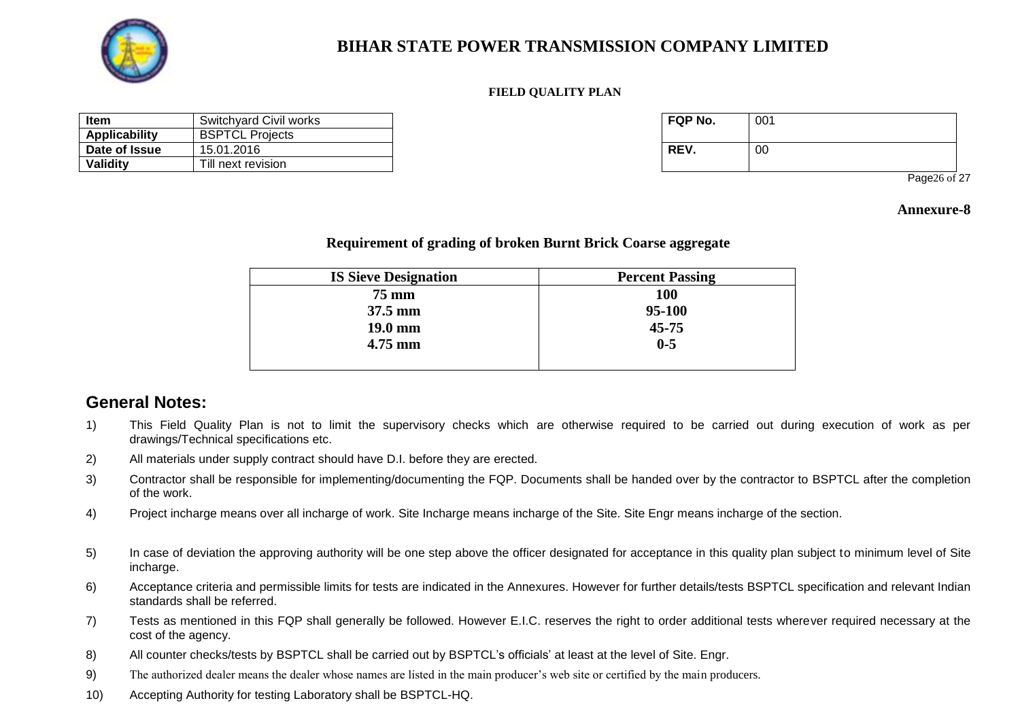

#### **FIELD QUALITY PLAN**

| <b>Item</b>   | Switchvard Civil works | FQP No. | 001 |
|---------------|------------------------|---------|-----|
| Applicability | <b>BSPTCL Projects</b> |         |     |
| Date of Issue | 15.01.2016             | REV.    | 00  |
| Validity      | Till next revision     |         |     |

| FQP No. | 001 |
|---------|-----|
| REV.    | 00  |

Page26 of 27

#### **Annexure-8**

#### **Requirement of grading of broken Burnt Brick Coarse aggregate**

| <b>IS Sieve Designation</b> | <b>Percent Passing</b> |
|-----------------------------|------------------------|
| <b>75 mm</b>                | <b>100</b>             |
| $37.5 \text{ mm}$           | 95-100                 |
| $19.0 \text{ mm}$           | $45 - 75$              |
| $4.75$ mm                   | $0 - 5$                |
|                             |                        |

### **General Notes:**

- 1) This Field Quality Plan is not to limit the supervisory checks which are otherwise required to be carried out during execution of work as per drawings/Technical specifications etc.
- 2) All materials under supply contract should have D.I. before they are erected.
- 3) Contractor shall be responsible for implementing/documenting the FQP. Documents shall be handed over by the contractor to BSPTCL after the completion of the work.
- 4) Project incharge means over all incharge of work. Site Incharge means incharge of the Site. Site Engr means incharge of the section.
- 5) In case of deviation the approving authority will be one step above the officer designated for acceptance in this quality plan subject to minimum level of Site incharge.
- 6) Acceptance criteria and permissible limits for tests are indicated in the Annexures. However for further details/tests BSPTCL specification and relevant Indian standards shall be referred.
- 7) Tests as mentioned in this FQP shall generally be followed. However E.I.C. reserves the right to order additional tests wherever required necessary at the cost of the agency.
- 8) All counter checks/tests by BSPTCL shall be carried out by BSPTCL's officials' at least at the level of Site. Engr.
- 9) The authorized dealer means the dealer whose names are listed in the main producer's web site or certified by the main producers.
- 10) Accepting Authority for testing Laboratory shall be BSPTCL-HQ.